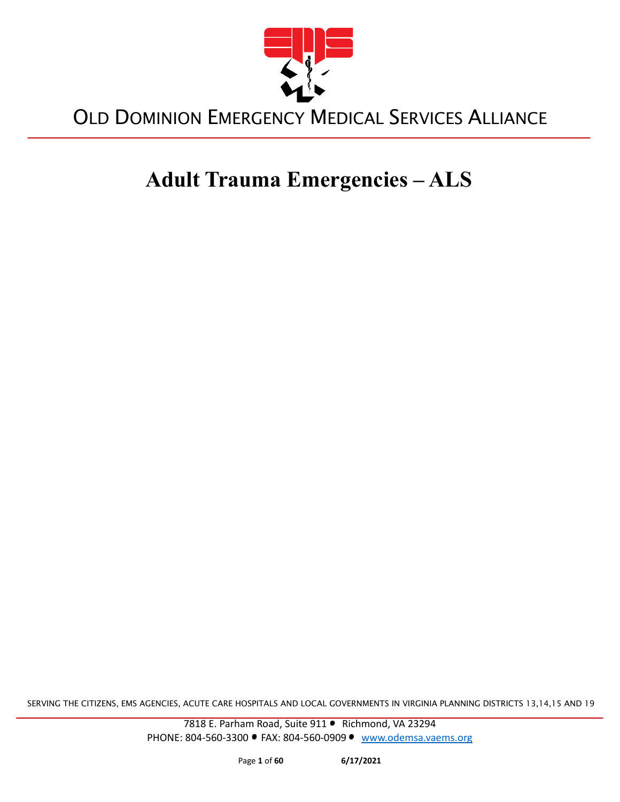

# **Adult Trauma Emergencies – ALS**

SERVING THE CITIZENS, EMS AGENCIES, ACUTE CARE HOSPITALS AND LOCAL GOVERNMENTS IN VIRGINIA PLANNING DISTRICTS 13,14,15 AND 19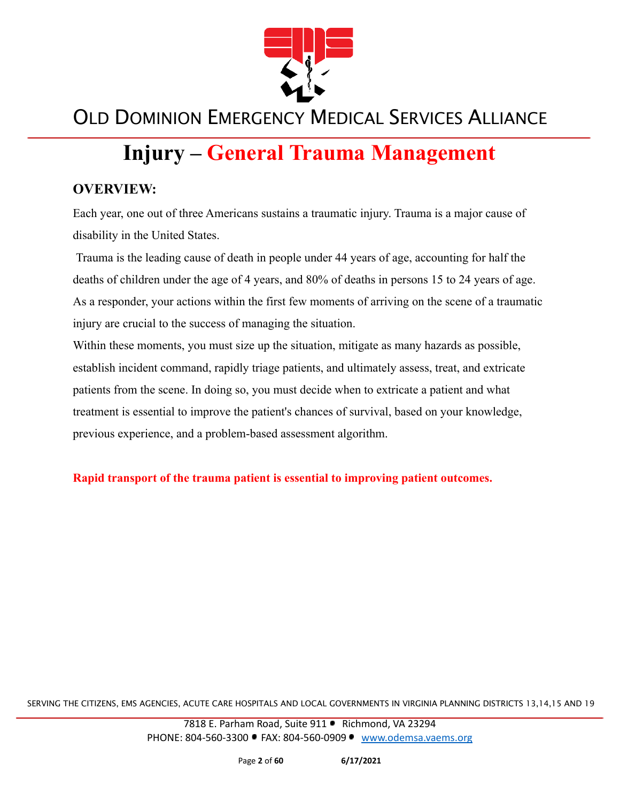

# **Injury – General Trauma Management**

#### **OVERVIEW:**

Each year, one out of three Americans sustains a traumatic injury. Trauma is a major cause of disability in the United States.

Trauma is the leading cause of death in people under 44 years of age, accounting for half the deaths of children under the age of 4 years, and 80% of deaths in persons 15 to 24 years of age. As a responder, your actions within the first few moments of arriving on the scene of a traumatic injury are crucial to the success of managing the situation.

Within these moments, you must size up the situation, mitigate as many hazards as possible, establish incident command, rapidly triage patients, and ultimately assess, treat, and extricate patients from the scene. In doing so, you must decide when to extricate a patient and what treatment is essential to improve the patient's chances of survival, based on your knowledge, previous experience, and a problem-based assessment algorithm.

**Rapid transport of the trauma patient is essential to improving patient outcomes.**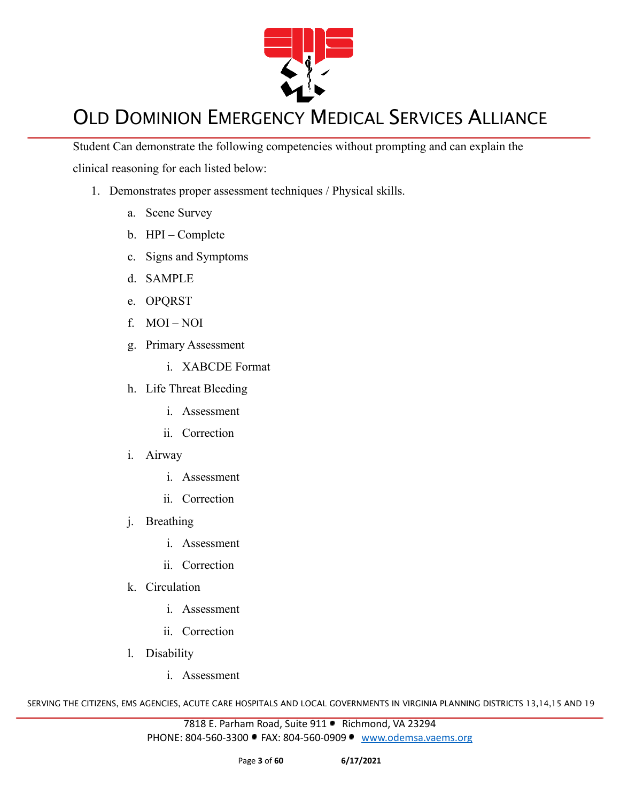

Student Can demonstrate the following competencies without prompting and can explain the clinical reasoning for each listed below:

- 1. Demonstrates proper assessment techniques / Physical skills.
	- a. Scene Survey
	- b. HPI Complete
	- c. Signs and Symptoms
	- d. SAMPLE
	- e. OPQRST
	- f. MOI NOI
	- g. Primary Assessment
		- i. XABCDE Format
	- h. Life Threat Bleeding
		- i. Assessment
		- ii. Correction
	- i. Airway
		- i. Assessment
		- ii. Correction
	- j. Breathing
		- i. Assessment
		- ii. Correction
	- k. Circulation
		- i. Assessment
		- ii. Correction
	- l. Disability
		- i. Assessment

SERVING THE CITIZENS, EMS AGENCIES, ACUTE CARE HOSPITALS AND LOCAL GOVERNMENTS IN VIRGINIA PLANNING DISTRICTS 13,14,15 AND 19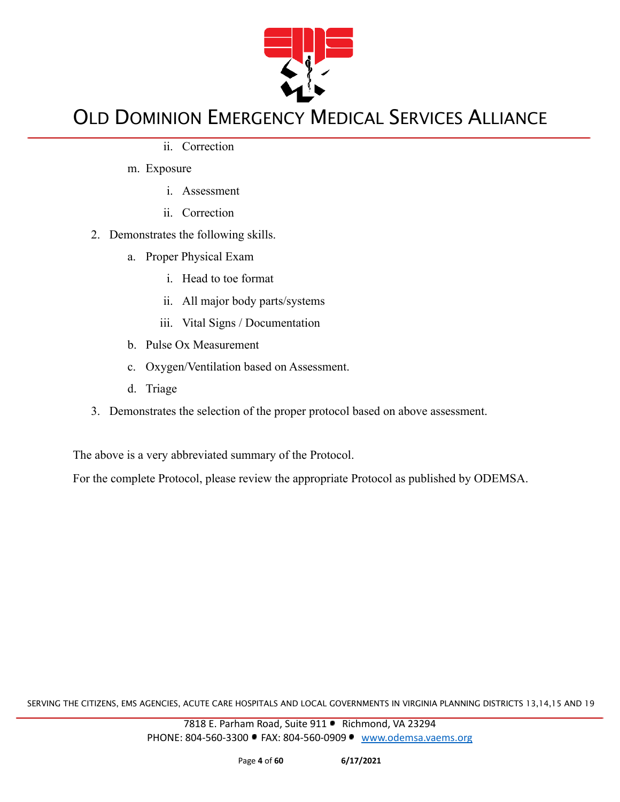

ii. Correction

m. Exposure

- i. Assessment
- ii. Correction
- 2. Demonstrates the following skills.
	- a. Proper Physical Exam
		- i. Head to toe format
		- ii. All major body parts/systems
		- iii. Vital Signs / Documentation
	- b. Pulse Ox Measurement
	- c. Oxygen/Ventilation based on Assessment.
	- d. Triage
- 3. Demonstrates the selection of the proper protocol based on above assessment.

The above is a very abbreviated summary of the Protocol.

For the complete Protocol, please review the appropriate Protocol as published by ODEMSA.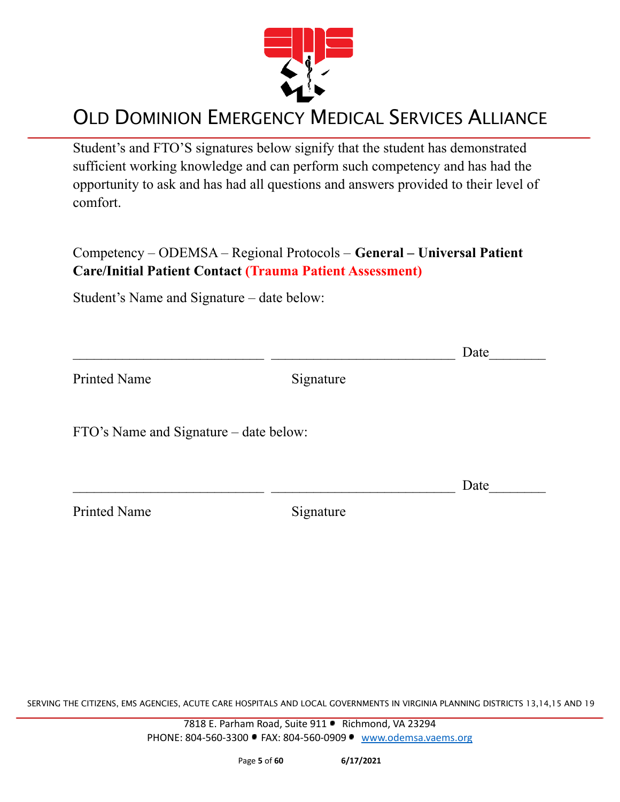

Student's and FTO'S signatures below signify that the student has demonstrated sufficient working knowledge and can perform such competency and has had the opportunity to ask and has had all questions and answers provided to their level of comfort.

Competency – ODEMSA – Regional Protocols – **General – Universal Patient Care/Initial Patient Contact (Trauma Patient Assessment)**

Student's Name and Signature – date below:

|                                        |           | Date |
|----------------------------------------|-----------|------|
| <b>Printed Name</b>                    | Signature |      |
| FTO's Name and Signature – date below: |           |      |
|                                        |           | Date |
| <b>Printed Name</b>                    | Signature |      |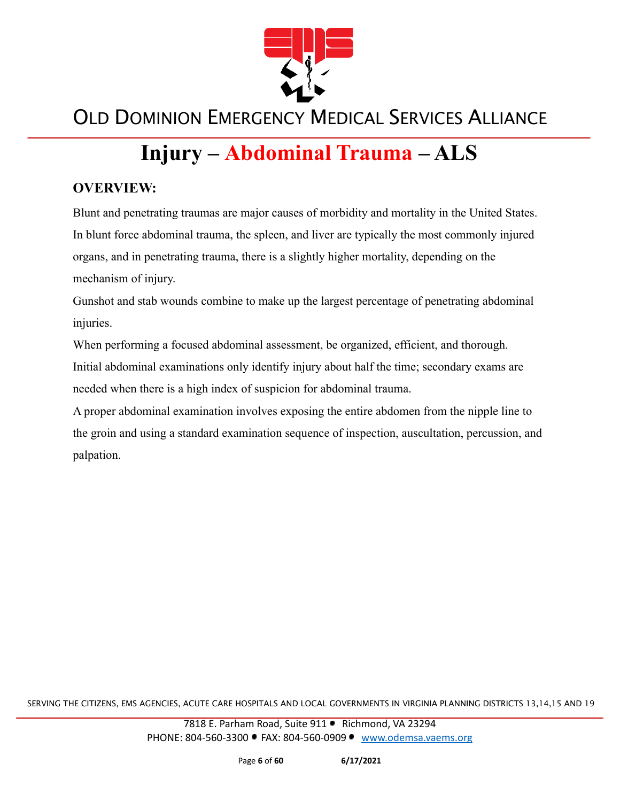

# **Injury – Abdominal Trauma – ALS**

#### **OVERVIEW:**

Blunt and penetrating traumas are major causes of morbidity and mortality in the United States. In blunt force abdominal trauma, the spleen, and liver are typically the most commonly injured organs, and in penetrating trauma, there is a slightly higher mortality, depending on the mechanism of injury.

Gunshot and stab wounds combine to make up the largest percentage of penetrating abdominal injuries.

When performing a focused abdominal assessment, be organized, efficient, and thorough. Initial abdominal examinations only identify injury about half the time; secondary exams are needed when there is a high index of suspicion for abdominal trauma.

A proper abdominal examination involves exposing the entire abdomen from the nipple line to the groin and using a standard examination sequence of inspection, auscultation, percussion, and palpation.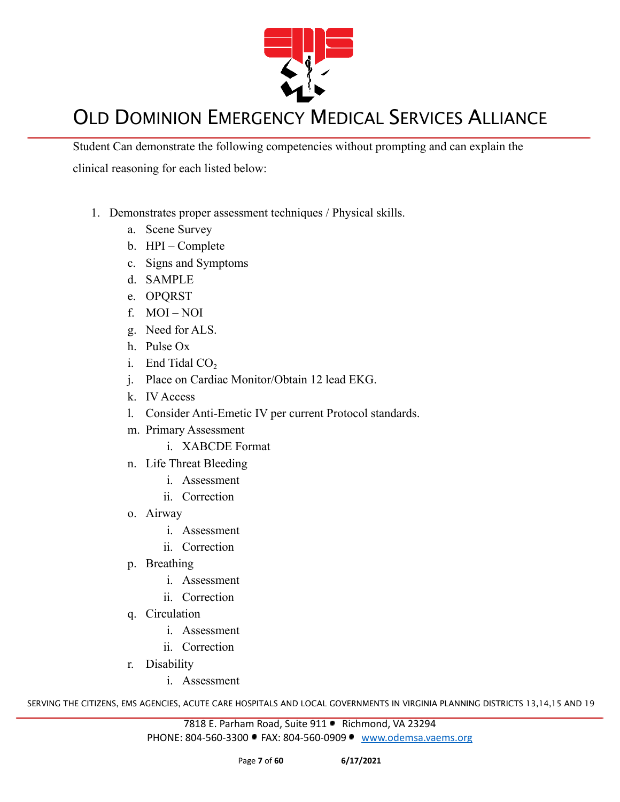

Student Can demonstrate the following competencies without prompting and can explain the clinical reasoning for each listed below:

- 1. Demonstrates proper assessment techniques / Physical skills.
	- a. Scene Survey
	- b. HPI Complete
	- c. Signs and Symptoms
	- d. SAMPLE
	- e. OPQRST
	- f. MOI NOI
	- g. Need for ALS.
	- h. Pulse Ox
	- i. End Tidal  $CO<sub>2</sub>$
	- j. Place on Cardiac Monitor/Obtain 12 lead EKG.
	- k. IV Access
	- l. Consider Anti-Emetic IV per current Protocol standards.
	- m. Primary Assessment
		- i. XABCDE Format
	- n. Life Threat Bleeding
		- i. Assessment
		- ii. Correction
	- o. Airway
		- i. Assessment
		- ii. Correction
	- p. Breathing
		- i. Assessment
		- ii. Correction
	- q. Circulation
		- i. Assessment
		- ii. Correction
	- r. Disability
		- i. Assessment

SERVING THE CITIZENS, EMS AGENCIES, ACUTE CARE HOSPITALS AND LOCAL GOVERNMENTS IN VIRGINIA PLANNING DISTRICTS 13,14,15 AND 19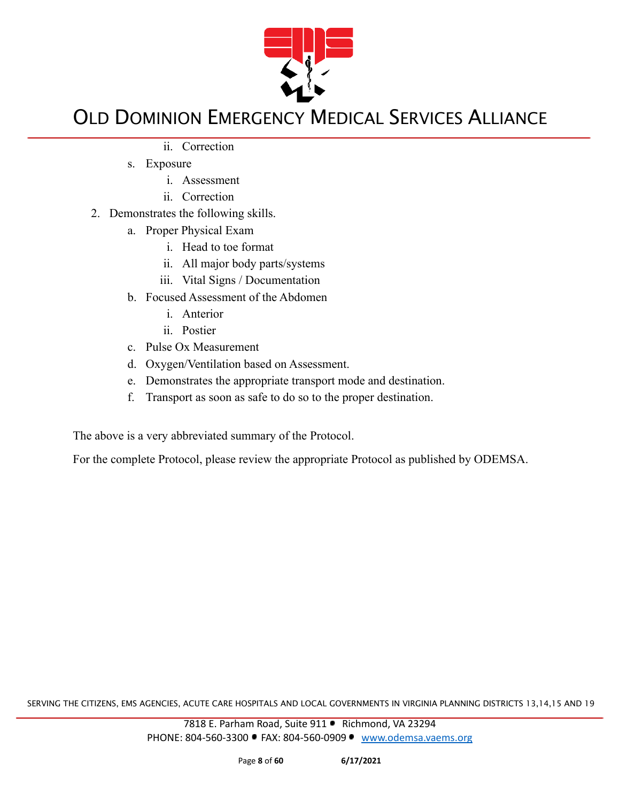

- ii. Correction
- s. Exposure
	- i. Assessment
	- ii. Correction
- 2. Demonstrates the following skills.
	- a. Proper Physical Exam
		- i. Head to toe format
		- ii. All major body parts/systems
		- iii. Vital Signs / Documentation
	- b. Focused Assessment of the Abdomen
		- i. Anterior
		- ii. Postier
	- c. Pulse Ox Measurement
	- d. Oxygen/Ventilation based on Assessment.
	- e. Demonstrates the appropriate transport mode and destination.
	- f. Transport as soon as safe to do so to the proper destination.

The above is a very abbreviated summary of the Protocol.

For the complete Protocol, please review the appropriate Protocol as published by ODEMSA.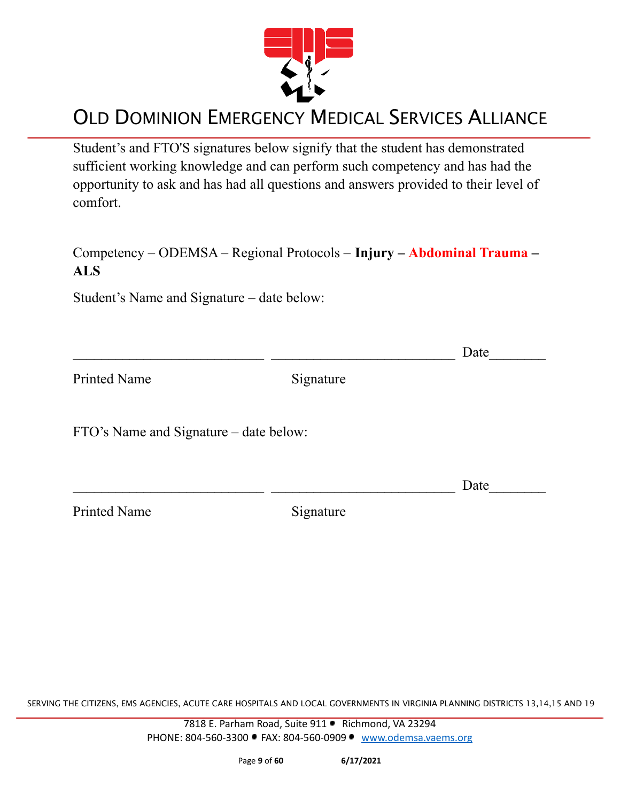

Student's and FTO'S signatures below signify that the student has demonstrated sufficient working knowledge and can perform such competency and has had the opportunity to ask and has had all questions and answers provided to their level of comfort.

#### Competency – ODEMSA – Regional Protocols – **Injury – Abdominal Trauma – ALS**

Student's Name and Signature – date below:

|                                        |           | Date |
|----------------------------------------|-----------|------|
| <b>Printed Name</b>                    | Signature |      |
| FTO's Name and Signature – date below: |           |      |
|                                        |           | Date |
| <b>Printed Name</b>                    | Signature |      |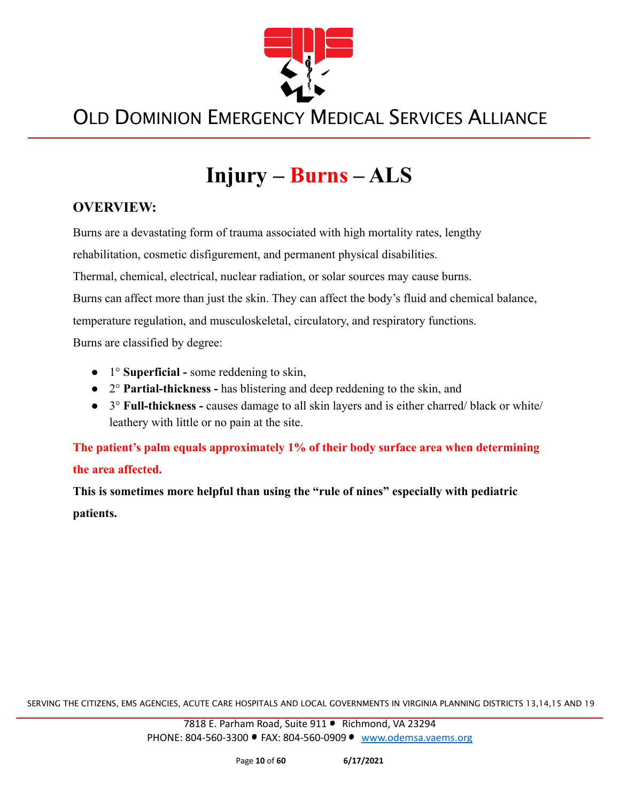

# **Injury – Burns – ALS**

#### **OVERVIEW:**

Burns are a devastating form of trauma associated with high mortality rates, lengthy rehabilitation, cosmetic disfigurement, and permanent physical disabilities. Thermal, chemical, electrical, nuclear radiation, or solar sources may cause burns. Burns can affect more than just the skin. They can affect the body's fluid and chemical balance, temperature regulation, and musculoskeletal, circulatory, and respiratory functions. Burns are classified by degree:

- 1° **Superficial -** some reddening to skin,
- 2° **Partial-thickness -** has blistering and deep reddening to the skin, and
- 3° **Full-thickness -** causes damage to all skin layers and is either charred/ black or white/ leathery with little or no pain at the site.

**The patient's palm equals approximately 1% of their body surface area when determining the area affected.**

**This is sometimes more helpful than using the "rule of nines" especially with pediatric patients.**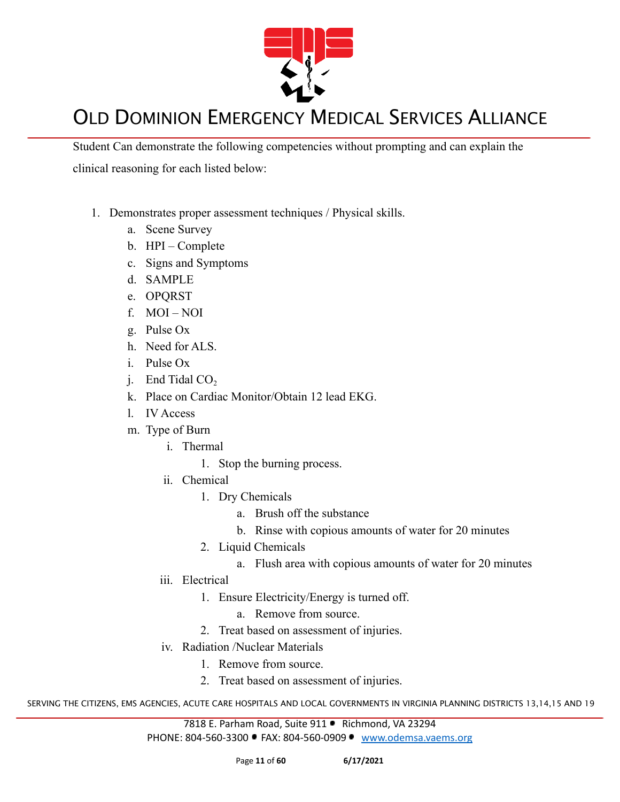

Student Can demonstrate the following competencies without prompting and can explain the clinical reasoning for each listed below:

- 1. Demonstrates proper assessment techniques / Physical skills.
	- a. Scene Survey
	- b. HPI Complete
	- c. Signs and Symptoms
	- d. SAMPLE
	- e. OPQRST
	- f. MOI NOI
	- g. Pulse Ox
	- h. Need for ALS.
	- i. Pulse Ox
	- i. End Tidal  $CO<sub>2</sub>$
	- k. Place on Cardiac Monitor/Obtain 12 lead EKG.
	- l. IV Access
	- m. Type of Burn
		- i. Thermal
			- 1. Stop the burning process.
		- ii. Chemical
			- 1. Dry Chemicals
				- a. Brush off the substance
				- b. Rinse with copious amounts of water for 20 minutes
			- 2. Liquid Chemicals
				- a. Flush area with copious amounts of water for 20 minutes
		- iii. Electrical
			- 1. Ensure Electricity/Energy is turned off.
				- a. Remove from source.
			- 2. Treat based on assessment of injuries.
		- iv. Radiation /Nuclear Materials
			- 1. Remove from source.
			- 2. Treat based on assessment of injuries.

SERVING THE CITIZENS, EMS AGENCIES, ACUTE CARE HOSPITALS AND LOCAL GOVERNMENTS IN VIRGINIA PLANNING DISTRICTS 13,14,15 AND 19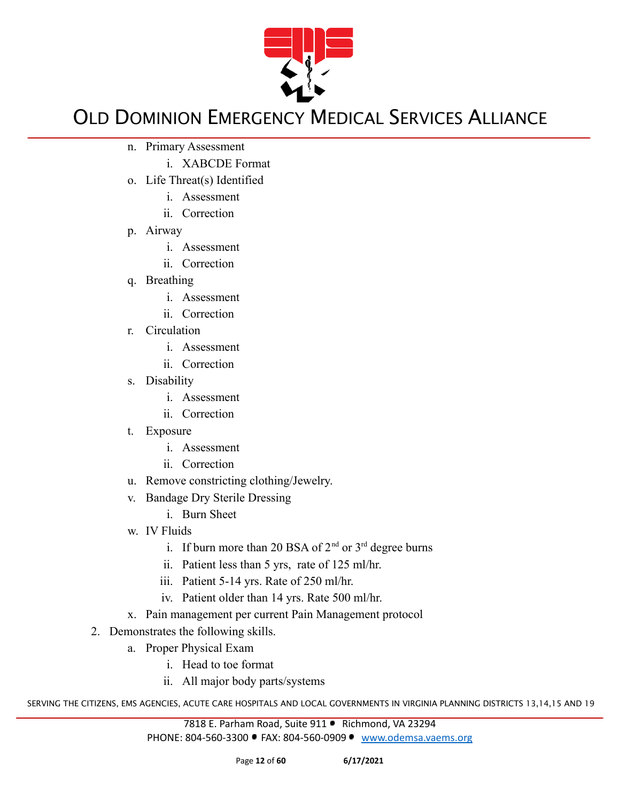

- n. Primary Assessment
	- i. XABCDE Format
- o. Life Threat(s) Identified
	- i. Assessment
	- ii. Correction
- p. Airway
	- i. Assessment
	- ii. Correction
- q. Breathing
	- i. Assessment
	- ii. Correction
- r. Circulation
	- i. Assessment
	- ii. Correction
- s. Disability
	- i. Assessment
	- ii. Correction
- t. Exposure
	- i. Assessment
	- ii. Correction
- u. Remove constricting clothing/Jewelry.
- v. Bandage Dry Sterile Dressing
	- i. Burn Sheet
- w. IV Fluids
	- i. If burn more than 20 BSA of  $2<sup>nd</sup>$  or  $3<sup>rd</sup>$  degree burns
	- ii. Patient less than 5 yrs, rate of 125 ml/hr.
	- iii. Patient 5-14 yrs. Rate of 250 ml/hr.
	- iv. Patient older than 14 yrs. Rate 500 ml/hr.
- x. Pain management per current Pain Management protocol
- 2. Demonstrates the following skills.
	- a. Proper Physical Exam
		- i. Head to toe format
		- ii. All major body parts/systems

SERVING THE CITIZENS, EMS AGENCIES, ACUTE CARE HOSPITALS AND LOCAL GOVERNMENTS IN VIRGINIA PLANNING DISTRICTS 13,14,15 AND 19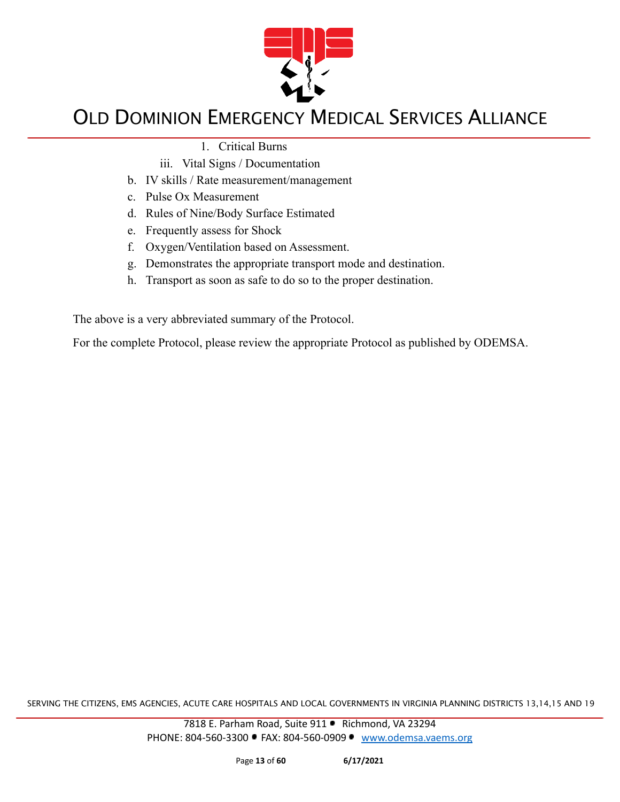

1. Critical Burns

- iii. Vital Signs / Documentation
- b. IV skills / Rate measurement/management
- c. Pulse Ox Measurement
- d. Rules of Nine/Body Surface Estimated
- e. Frequently assess for Shock
- f. Oxygen/Ventilation based on Assessment.
- g. Demonstrates the appropriate transport mode and destination.
- h. Transport as soon as safe to do so to the proper destination.

The above is a very abbreviated summary of the Protocol.

For the complete Protocol, please review the appropriate Protocol as published by ODEMSA.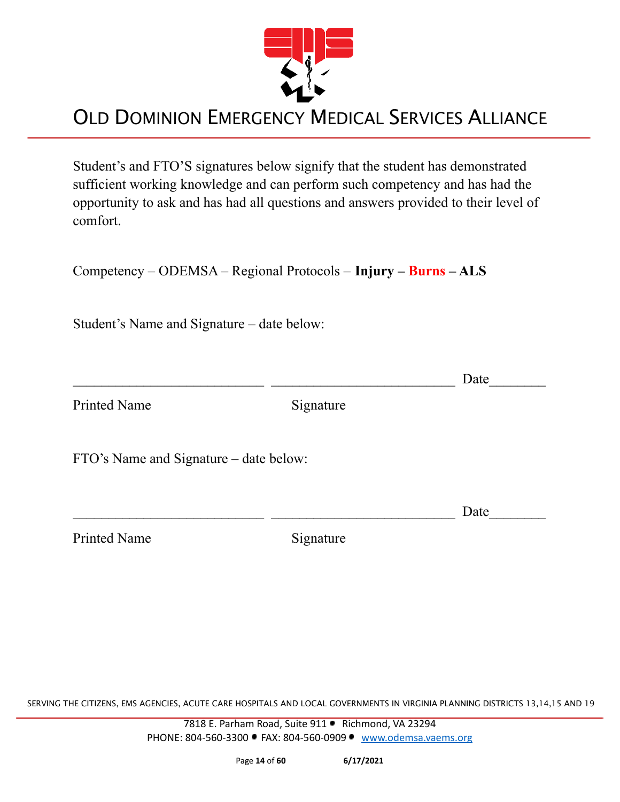

Student's and FTO'S signatures below signify that the student has demonstrated sufficient working knowledge and can perform such competency and has had the opportunity to ask and has had all questions and answers provided to their level of comfort.

Competency – ODEMSA – Regional Protocols – **Injury – Burns – ALS**

Student's Name and Signature – date below:

|                                        |           | Date |
|----------------------------------------|-----------|------|
| <b>Printed Name</b>                    | Signature |      |
| FTO's Name and Signature – date below: |           |      |
|                                        |           | Date |
| <b>Printed Name</b>                    | Signature |      |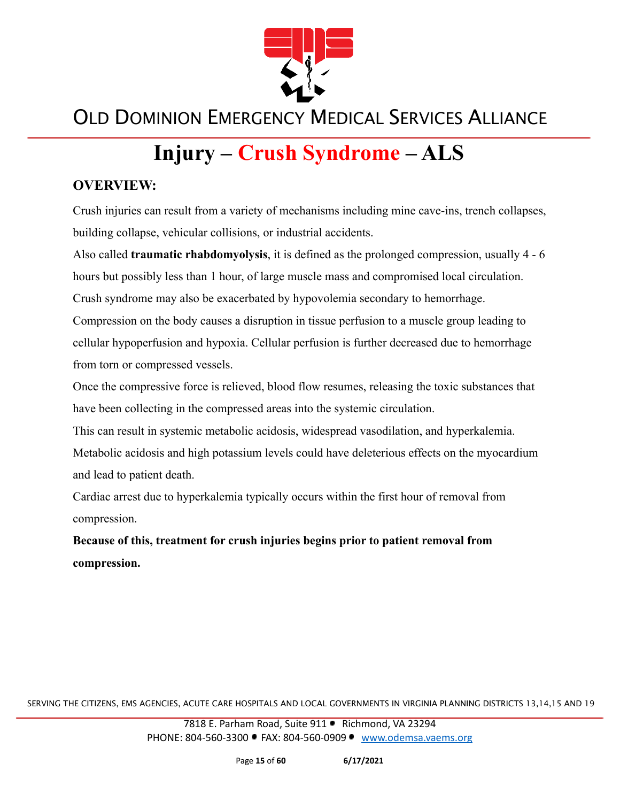

# **Injury – Crush Syndrome – ALS**

#### **OVERVIEW:**

Crush injuries can result from a variety of mechanisms including mine cave-ins, trench collapses, building collapse, vehicular collisions, or industrial accidents.

Also called **traumatic rhabdomyolysis**, it is defined as the prolonged compression, usually 4 - 6 hours but possibly less than 1 hour, of large muscle mass and compromised local circulation. Crush syndrome may also be exacerbated by hypovolemia secondary to hemorrhage.

Compression on the body causes a disruption in tissue perfusion to a muscle group leading to cellular hypoperfusion and hypoxia. Cellular perfusion is further decreased due to hemorrhage from torn or compressed vessels.

Once the compressive force is relieved, blood flow resumes, releasing the toxic substances that have been collecting in the compressed areas into the systemic circulation.

This can result in systemic metabolic acidosis, widespread vasodilation, and hyperkalemia. Metabolic acidosis and high potassium levels could have deleterious effects on the myocardium and lead to patient death.

Cardiac arrest due to hyperkalemia typically occurs within the first hour of removal from compression.

**Because of this, treatment for crush injuries begins prior to patient removal from compression.**

SERVING THE CITIZENS, EMS AGENCIES, ACUTE CARE HOSPITALS AND LOCAL GOVERNMENTS IN VIRGINIA PLANNING DISTRICTS 13,14,15 AND 19

7818 E. Parham Road, Suite 911 · Richmond, VA 23294 PHONE: 804-560-3300 FAX: 804-560-0909 [www.odemsa.vaems.org](http://www.odemsa.vaems.org)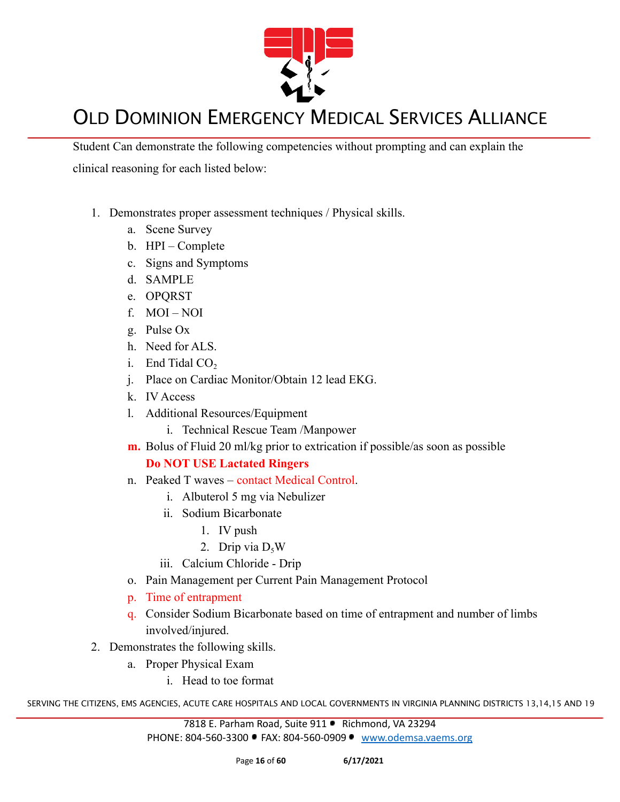

Student Can demonstrate the following competencies without prompting and can explain the clinical reasoning for each listed below:

- 1. Demonstrates proper assessment techniques / Physical skills.
	- a. Scene Survey
	- b. HPI Complete
	- c. Signs and Symptoms
	- d. SAMPLE
	- e. OPQRST
	- f. MOI NOI
	- g. Pulse Ox
	- h. Need for ALS.
	- i. End Tidal  $CO<sub>2</sub>$
	- j. Place on Cardiac Monitor/Obtain 12 lead EKG.
	- k. IV Access
	- l. Additional Resources/Equipment
		- i. Technical Rescue Team /Manpower
	- **m.** Bolus of Fluid 20 ml/kg prior to extrication if possible/as soon as possible

#### **Do NOT USE Lactated Ringers**

- n. Peaked T waves contact Medical Control.
	- i. Albuterol 5 mg via Nebulizer
	- ii. Sodium Bicarbonate
		- 1. IV push
		- 2. Drip via  $D_5W$
	- iii. Calcium Chloride Drip
- o. Pain Management per Current Pain Management Protocol
- p. Time of entrapment
- q. Consider Sodium Bicarbonate based on time of entrapment and number of limbs involved/injured.
- 2. Demonstrates the following skills.
	- a. Proper Physical Exam
		- i. Head to toe format

SERVING THE CITIZENS, EMS AGENCIES, ACUTE CARE HOSPITALS AND LOCAL GOVERNMENTS IN VIRGINIA PLANNING DISTRICTS 13,14,15 AND 19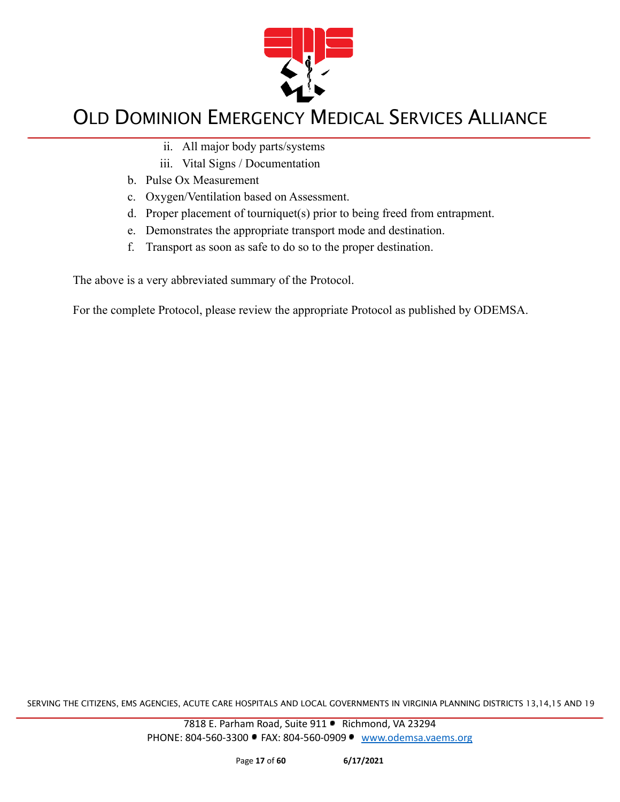

- ii. All major body parts/systems
- iii. Vital Signs / Documentation
- b. Pulse Ox Measurement
- c. Oxygen/Ventilation based on Assessment.
- d. Proper placement of tourniquet(s) prior to being freed from entrapment.
- e. Demonstrates the appropriate transport mode and destination.
- f. Transport as soon as safe to do so to the proper destination.

The above is a very abbreviated summary of the Protocol.

For the complete Protocol, please review the appropriate Protocol as published by ODEMSA.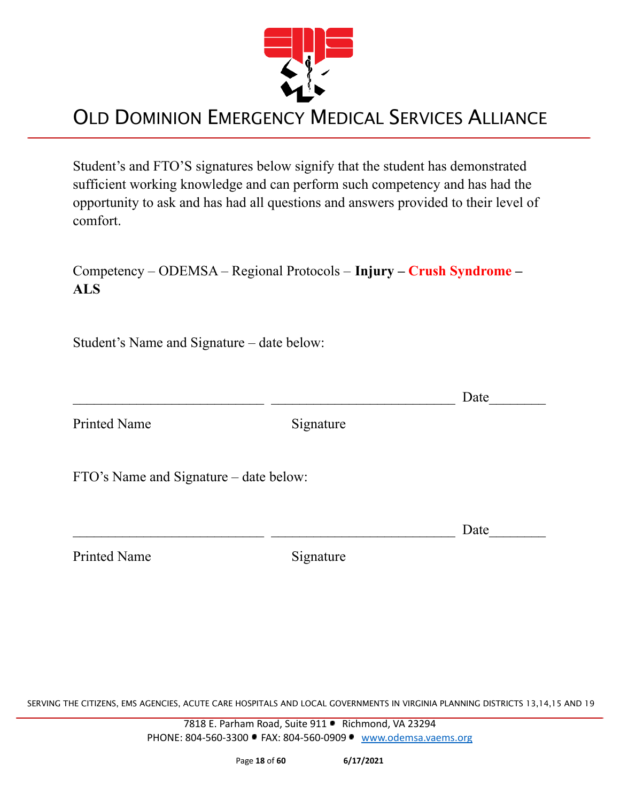

Student's and FTO'S signatures below signify that the student has demonstrated sufficient working knowledge and can perform such competency and has had the opportunity to ask and has had all questions and answers provided to their level of comfort.

Competency – ODEMSA – Regional Protocols – **Injury – Crush Syndrome – ALS**

Student's Name and Signature – date below:

 $\Box$  Date

Printed Name Signature

FTO's Name and Signature – date below:

Printed Name Signature

 $\Box$  Date

SERVING THE CITIZENS, EMS AGENCIES, ACUTE CARE HOSPITALS AND LOCAL GOVERNMENTS IN VIRGINIA PLANNING DISTRICTS 13,14,15 AND 19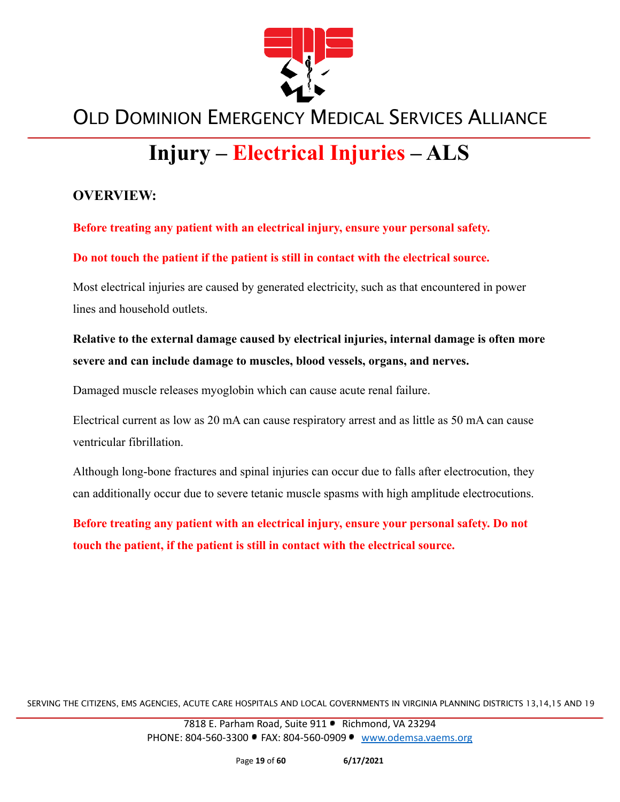

# **Injury – Electrical Injuries – ALS**

#### **OVERVIEW:**

**Before treating any patient with an electrical injury, ensure your personal safety.**

**Do not touch the patient if the patient is still in contact with the electrical source.**

Most electrical injuries are caused by generated electricity, such as that encountered in power lines and household outlets.

#### **Relative to the external damage caused by electrical injuries, internal damage is often more severe and can include damage to muscles, blood vessels, organs, and nerves.**

Damaged muscle releases myoglobin which can cause acute renal failure.

Electrical current as low as 20 mA can cause respiratory arrest and as little as 50 mA can cause ventricular fibrillation.

Although long-bone fractures and spinal injuries can occur due to falls after electrocution, they can additionally occur due to severe tetanic muscle spasms with high amplitude electrocutions.

**Before treating any patient with an electrical injury, ensure your personal safety. Do not touch the patient, if the patient is still in contact with the electrical source.**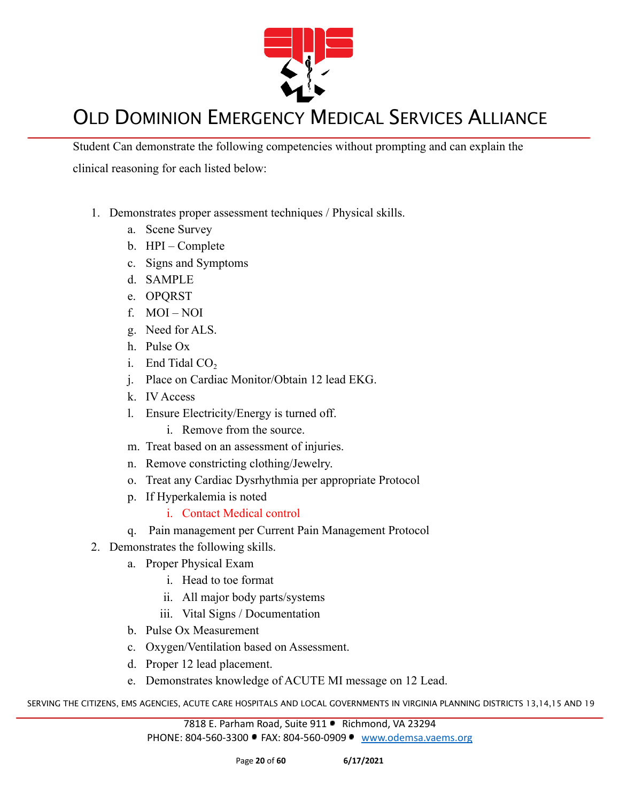

Student Can demonstrate the following competencies without prompting and can explain the clinical reasoning for each listed below:

- 1. Demonstrates proper assessment techniques / Physical skills.
	- a. Scene Survey
	- b. HPI Complete
	- c. Signs and Symptoms
	- d. SAMPLE
	- e. OPQRST
	- f. MOI NOI
	- g. Need for ALS.
	- h. Pulse Ox
	- i. End Tidal  $CO<sub>2</sub>$
	- j. Place on Cardiac Monitor/Obtain 12 lead EKG.
	- k. IV Access
	- l. Ensure Electricity/Energy is turned off.
		- i. Remove from the source.
	- m. Treat based on an assessment of injuries.
	- n. Remove constricting clothing/Jewelry.
	- o. Treat any Cardiac Dysrhythmia per appropriate Protocol
	- p. If Hyperkalemia is noted
		- i. Contact Medical control
	- q. Pain management per Current Pain Management Protocol
- 2. Demonstrates the following skills.
	- a. Proper Physical Exam
		- i. Head to toe format
		- ii. All major body parts/systems
		- iii. Vital Signs / Documentation
	- b. Pulse Ox Measurement
	- c. Oxygen/Ventilation based on Assessment.
	- d. Proper 12 lead placement.
	- e. Demonstrates knowledge of ACUTE MI message on 12 Lead.

SERVING THE CITIZENS, EMS AGENCIES, ACUTE CARE HOSPITALS AND LOCAL GOVERNMENTS IN VIRGINIA PLANNING DISTRICTS 13,14,15 AND 19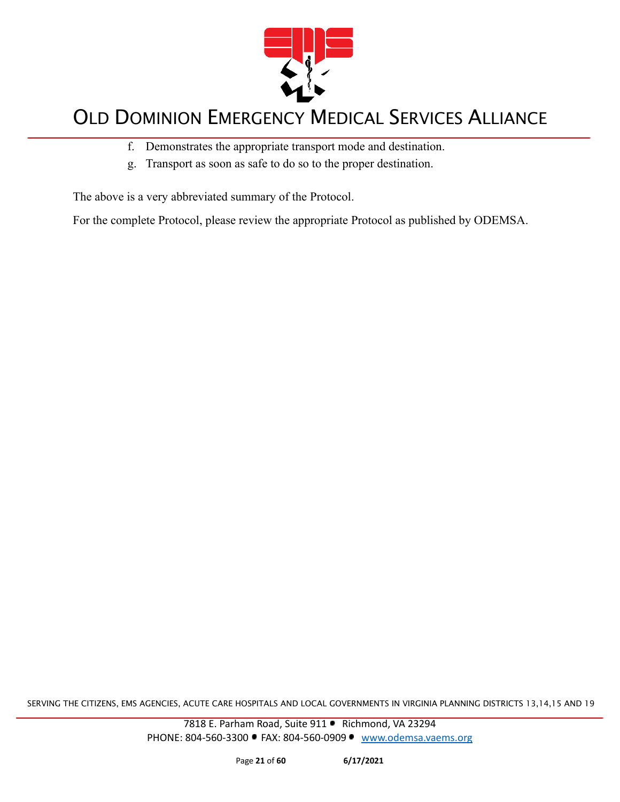

- f. Demonstrates the appropriate transport mode and destination.
- g. Transport as soon as safe to do so to the proper destination.

The above is a very abbreviated summary of the Protocol.

For the complete Protocol, please review the appropriate Protocol as published by ODEMSA.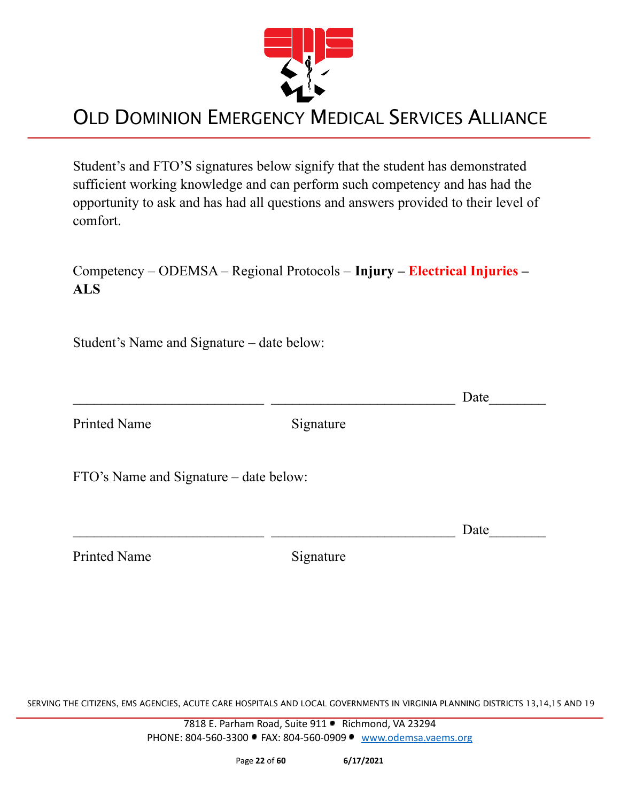

Student's and FTO'S signatures below signify that the student has demonstrated sufficient working knowledge and can perform such competency and has had the opportunity to ask and has had all questions and answers provided to their level of comfort.

Competency – ODEMSA – Regional Protocols – **Injury – Electrical Injuries – ALS**

Student's Name and Signature – date below:

 $\Box$  Date

Printed Name Signature

FTO's Name and Signature – date below:

Printed Name Signature

 $\Box$  Date

SERVING THE CITIZENS, EMS AGENCIES, ACUTE CARE HOSPITALS AND LOCAL GOVERNMENTS IN VIRGINIA PLANNING DISTRICTS 13,14,15 AND 19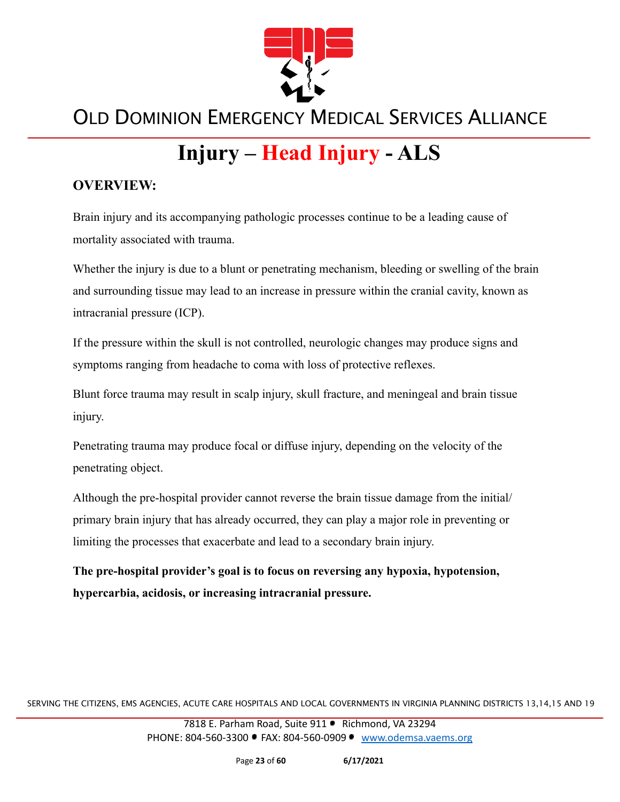

# **Injury – Head Injury - ALS**

#### **OVERVIEW:**

Brain injury and its accompanying pathologic processes continue to be a leading cause of mortality associated with trauma.

Whether the injury is due to a blunt or penetrating mechanism, bleeding or swelling of the brain and surrounding tissue may lead to an increase in pressure within the cranial cavity, known as intracranial pressure (ICP).

If the pressure within the skull is not controlled, neurologic changes may produce signs and symptoms ranging from headache to coma with loss of protective reflexes.

Blunt force trauma may result in scalp injury, skull fracture, and meningeal and brain tissue injury.

Penetrating trauma may produce focal or diffuse injury, depending on the velocity of the penetrating object.

Although the pre-hospital provider cannot reverse the brain tissue damage from the initial/ primary brain injury that has already occurred, they can play a major role in preventing or limiting the processes that exacerbate and lead to a secondary brain injury.

**The pre-hospital provider's goal is to focus on reversing any hypoxia, hypotension, hypercarbia, acidosis, or increasing intracranial pressure.**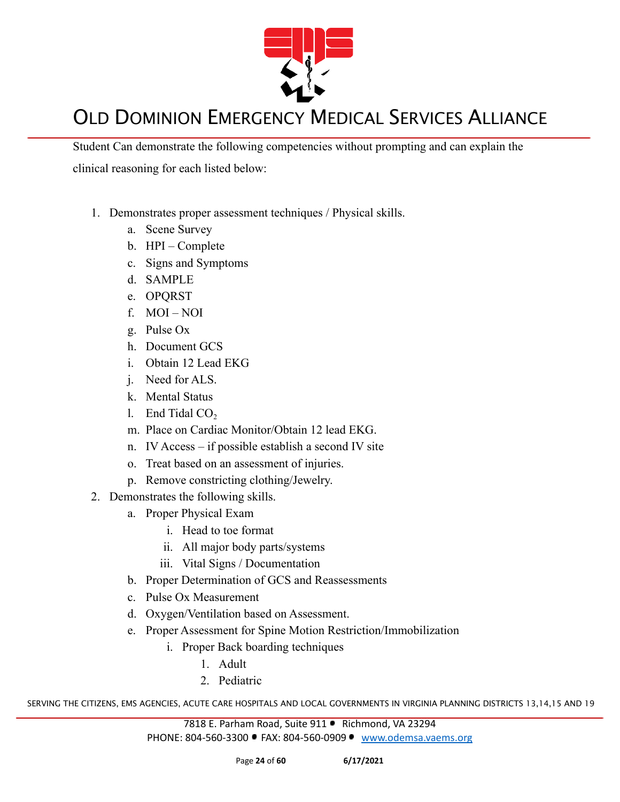

Student Can demonstrate the following competencies without prompting and can explain the clinical reasoning for each listed below:

- 1. Demonstrates proper assessment techniques / Physical skills.
	- a. Scene Survey
	- b. HPI Complete
	- c. Signs and Symptoms
	- d. SAMPLE
	- e. OPQRST
	- f. MOI NOI
	- g. Pulse Ox
	- h. Document GCS
	- i. Obtain 12 Lead EKG
	- j. Need for ALS.
	- k. Mental Status
	- l. End Tidal  $CO<sub>2</sub>$
	- m. Place on Cardiac Monitor/Obtain 12 lead EKG.
	- n. IV Access if possible establish a second IV site
	- o. Treat based on an assessment of injuries.
	- p. Remove constricting clothing/Jewelry.
- 2. Demonstrates the following skills.
	- a. Proper Physical Exam
		- i. Head to toe format
		- ii. All major body parts/systems
		- iii. Vital Signs / Documentation
	- b. Proper Determination of GCS and Reassessments
	- c. Pulse Ox Measurement
	- d. Oxygen/Ventilation based on Assessment.
	- e. Proper Assessment for Spine Motion Restriction/Immobilization
		- i. Proper Back boarding techniques
			- 1. Adult
			- 2. Pediatric

SERVING THE CITIZENS, EMS AGENCIES, ACUTE CARE HOSPITALS AND LOCAL GOVERNMENTS IN VIRGINIA PLANNING DISTRICTS 13,14,15 AND 19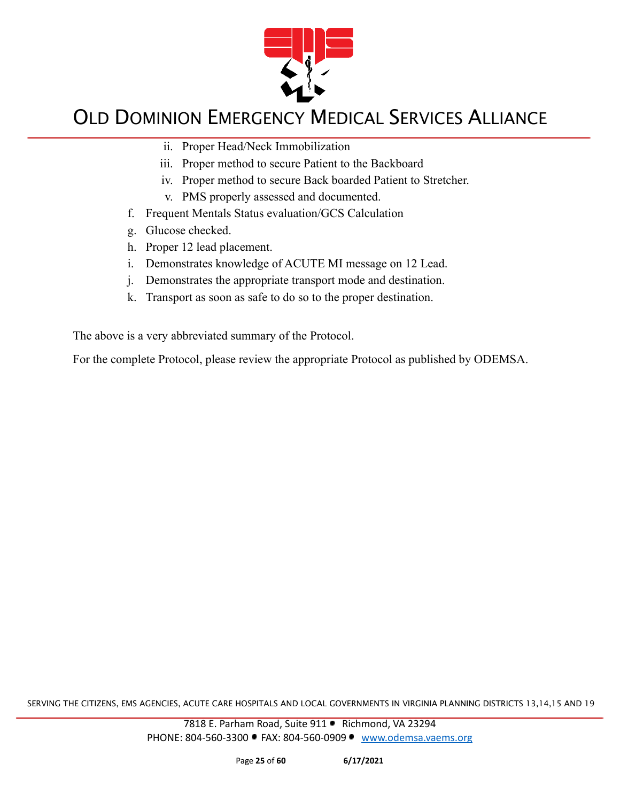

- ii. Proper Head/Neck Immobilization
- iii. Proper method to secure Patient to the Backboard
- iv. Proper method to secure Back boarded Patient to Stretcher.
- v. PMS properly assessed and documented.
- f. Frequent Mentals Status evaluation/GCS Calculation
- g. Glucose checked.
- h. Proper 12 lead placement.
- i. Demonstrates knowledge of ACUTE MI message on 12 Lead.
- j. Demonstrates the appropriate transport mode and destination.
- k. Transport as soon as safe to do so to the proper destination.

The above is a very abbreviated summary of the Protocol.

For the complete Protocol, please review the appropriate Protocol as published by ODEMSA.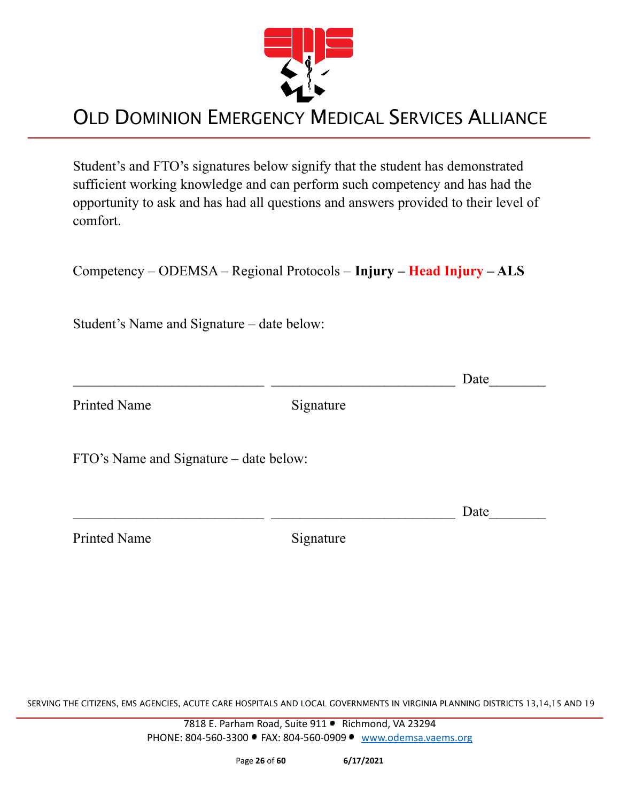

Student's and FTO's signatures below signify that the student has demonstrated sufficient working knowledge and can perform such competency and has had the opportunity to ask and has had all questions and answers provided to their level of comfort.

Competency – ODEMSA – Regional Protocols – **Injury – Head Injury – ALS**

Student's Name and Signature – date below:

 $\Box$  Date Printed Name Signature FTO's Name and Signature – date below:  $\Box$  Date

Printed Name Signature

SERVING THE CITIZENS, EMS AGENCIES, ACUTE CARE HOSPITALS AND LOCAL GOVERNMENTS IN VIRGINIA PLANNING DISTRICTS 13,14,15 AND 19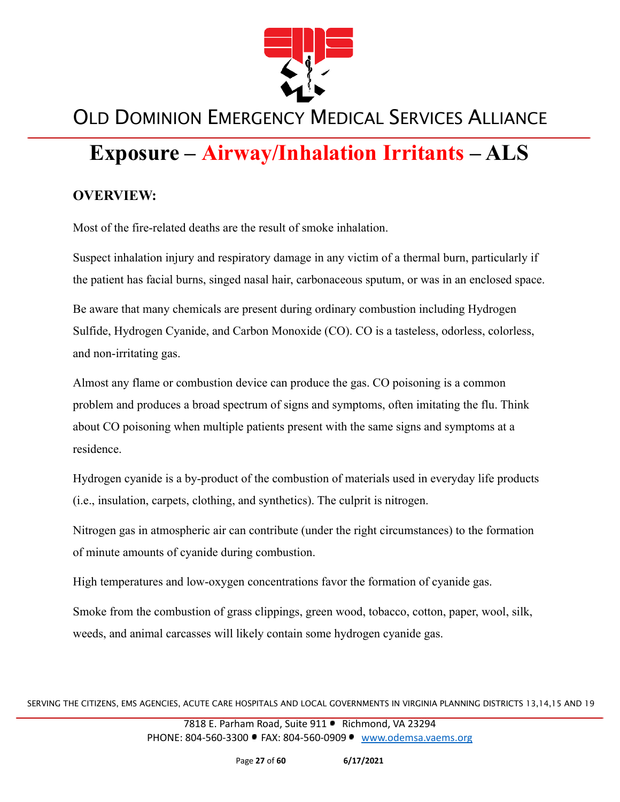

# **Exposure – Airway/Inhalation Irritants – ALS**

#### **OVERVIEW:**

Most of the fire-related deaths are the result of smoke inhalation.

Suspect inhalation injury and respiratory damage in any victim of a thermal burn, particularly if the patient has facial burns, singed nasal hair, carbonaceous sputum, or was in an enclosed space.

Be aware that many chemicals are present during ordinary combustion including Hydrogen Sulfide, Hydrogen Cyanide, and Carbon Monoxide (CO). CO is a tasteless, odorless, colorless, and non-irritating gas.

Almost any flame or combustion device can produce the gas. CO poisoning is a common problem and produces a broad spectrum of signs and symptoms, often imitating the flu. Think about CO poisoning when multiple patients present with the same signs and symptoms at a residence.

Hydrogen cyanide is a by-product of the combustion of materials used in everyday life products (i.e., insulation, carpets, clothing, and synthetics). The culprit is nitrogen.

Nitrogen gas in atmospheric air can contribute (under the right circumstances) to the formation of minute amounts of cyanide during combustion.

High temperatures and low-oxygen concentrations favor the formation of cyanide gas.

Smoke from the combustion of grass clippings, green wood, tobacco, cotton, paper, wool, silk, weeds, and animal carcasses will likely contain some hydrogen cyanide gas.

SERVING THE CITIZENS, EMS AGENCIES, ACUTE CARE HOSPITALS AND LOCAL GOVERNMENTS IN VIRGINIA PLANNING DISTRICTS 13,14,15 AND 19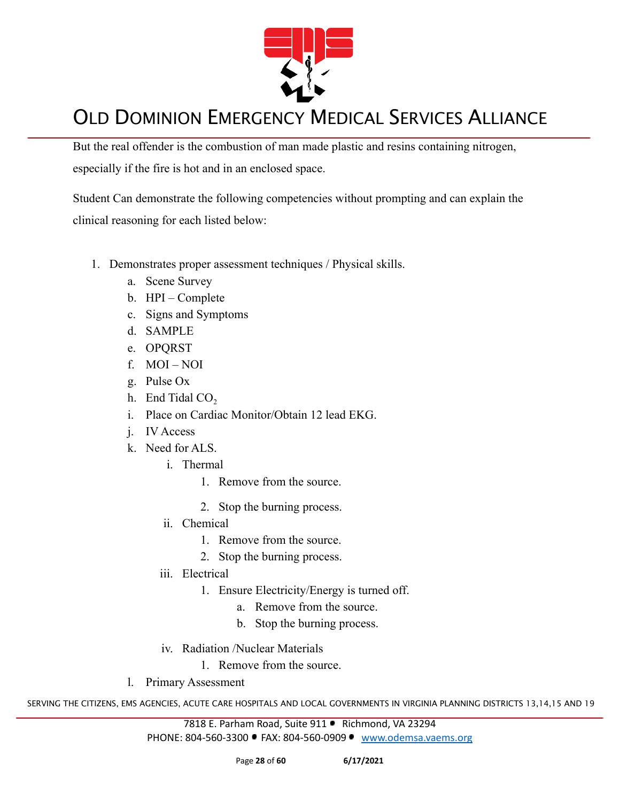

But the real offender is the combustion of man made plastic and resins containing nitrogen, especially if the fire is hot and in an enclosed space.

Student Can demonstrate the following competencies without prompting and can explain the clinical reasoning for each listed below:

- 1. Demonstrates proper assessment techniques / Physical skills.
	- a. Scene Survey
	- b. HPI Complete
	- c. Signs and Symptoms
	- d. SAMPLE
	- e. OPQRST
	- f. MOI NOI
	- g. Pulse Ox
	- h. End Tidal  $CO<sub>2</sub>$
	- i. Place on Cardiac Monitor/Obtain 12 lead EKG.
	- j. IV Access
	- k. Need for ALS.
		- i. Thermal
			- 1. Remove from the source.
			- 2. Stop the burning process.
		- ii. Chemical
			- 1. Remove from the source.
			- 2. Stop the burning process.
		- iii. Electrical
			- 1. Ensure Electricity/Energy is turned off.
				- a. Remove from the source.
				- b. Stop the burning process.
		- iv. Radiation /Nuclear Materials
			- 1. Remove from the source.
	- l. Primary Assessment

SERVING THE CITIZENS, EMS AGENCIES, ACUTE CARE HOSPITALS AND LOCAL GOVERNMENTS IN VIRGINIA PLANNING DISTRICTS 13,14,15 AND 19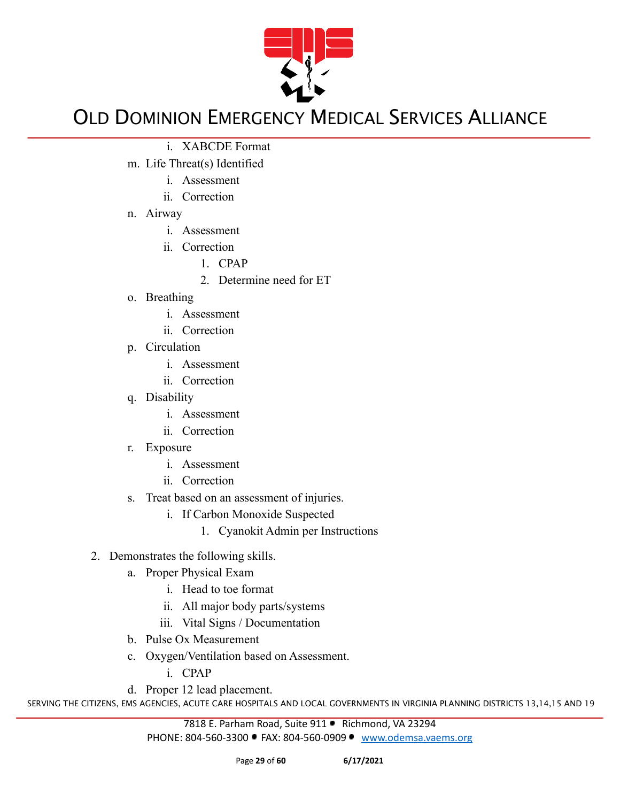

- i. XABCDE Format
- m. Life Threat(s) Identified
	- i. Assessment
	- ii. Correction
- n. Airway
	- i. Assessment
	- ii. Correction
		- 1. CPAP
			- 2. Determine need for ET
- o. Breathing
	- i. Assessment
	- ii. Correction
- p. Circulation
	- i. Assessment
	- ii. Correction
- q. Disability
	- i. Assessment
	- ii. Correction
- r. Exposure
	- i. Assessment
	- ii. Correction
- s. Treat based on an assessment of injuries.
	- i. If Carbon Monoxide Suspected
		- 1. Cyanokit Admin per Instructions
- 2. Demonstrates the following skills.
	- a. Proper Physical Exam
		- i. Head to toe format
		- ii. All major body parts/systems
		- iii. Vital Signs / Documentation
	- b. Pulse Ox Measurement
	- c. Oxygen/Ventilation based on Assessment.

i. CPAP

d. Proper 12 lead placement.

SERVING THE CITIZENS, EMS AGENCIES, ACUTE CARE HOSPITALS AND LOCAL GOVERNMENTS IN VIRGINIA PLANNING DISTRICTS 13,14,15 AND 19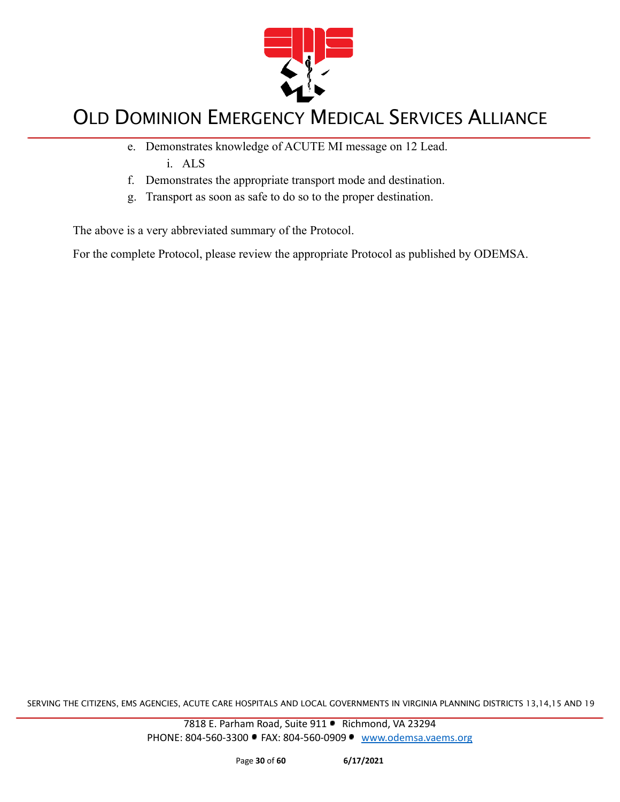

- e. Demonstrates knowledge of ACUTE MI message on 12 Lead. i. ALS
- f. Demonstrates the appropriate transport mode and destination.
- g. Transport as soon as safe to do so to the proper destination.

The above is a very abbreviated summary of the Protocol.

For the complete Protocol, please review the appropriate Protocol as published by ODEMSA.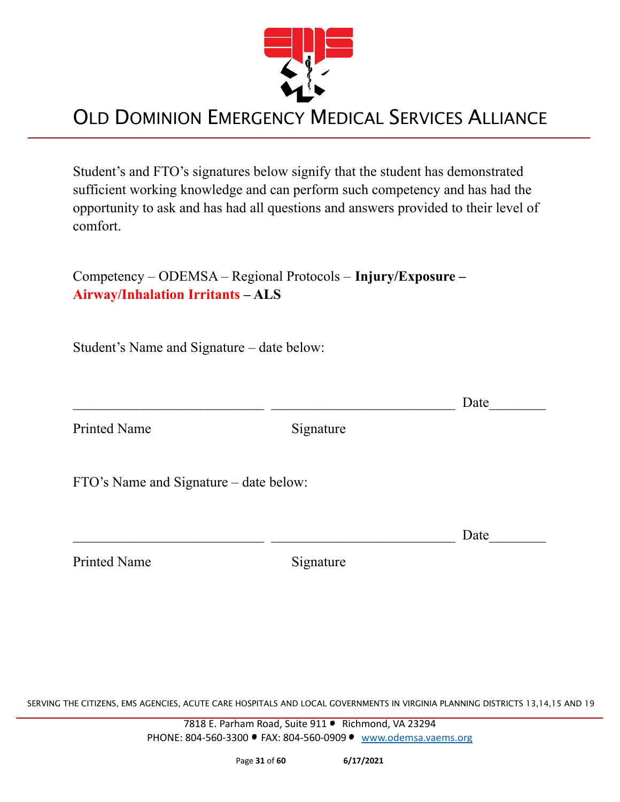

Student's and FTO's signatures below signify that the student has demonstrated sufficient working knowledge and can perform such competency and has had the opportunity to ask and has had all questions and answers provided to their level of comfort.

Competency – ODEMSA – Regional Protocols – **Injury/Exposure – Airway/Inhalation Irritants – ALS**

Student's Name and Signature – date below:

|                                        |           | Date |
|----------------------------------------|-----------|------|
| <b>Printed Name</b>                    | Signature |      |
| FTO's Name and Signature – date below: |           |      |
|                                        |           | Date |
| <b>Printed Name</b>                    | Signature |      |

SERVING THE CITIZENS, EMS AGENCIES, ACUTE CARE HOSPITALS AND LOCAL GOVERNMENTS IN VIRGINIA PLANNING DISTRICTS 13,14,15 AND 19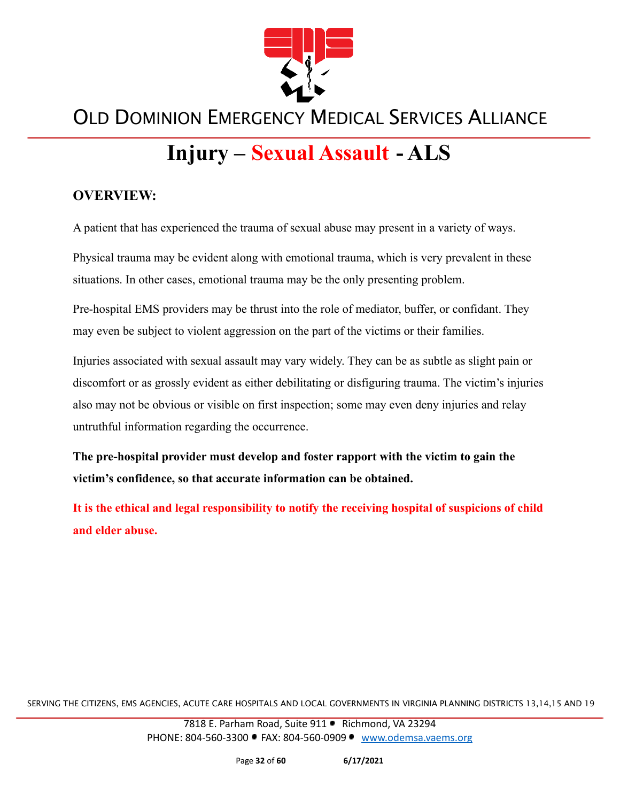

# **Injury – Sexual Assault - ALS**

#### **OVERVIEW:**

A patient that has experienced the trauma of sexual abuse may present in a variety of ways.

Physical trauma may be evident along with emotional trauma, which is very prevalent in these situations. In other cases, emotional trauma may be the only presenting problem.

Pre-hospital EMS providers may be thrust into the role of mediator, buffer, or confidant. They may even be subject to violent aggression on the part of the victims or their families.

Injuries associated with sexual assault may vary widely. They can be as subtle as slight pain or discomfort or as grossly evident as either debilitating or disfiguring trauma. The victim's injuries also may not be obvious or visible on first inspection; some may even deny injuries and relay untruthful information regarding the occurrence.

**The pre-hospital provider must develop and foster rapport with the victim to gain the victim's confidence, so that accurate information can be obtained.**

**It is the ethical and legal responsibility to notify the receiving hospital of suspicions of child and elder abuse.**

SERVING THE CITIZENS, EMS AGENCIES, ACUTE CARE HOSPITALS AND LOCAL GOVERNMENTS IN VIRGINIA PLANNING DISTRICTS 13,14,15 AND 19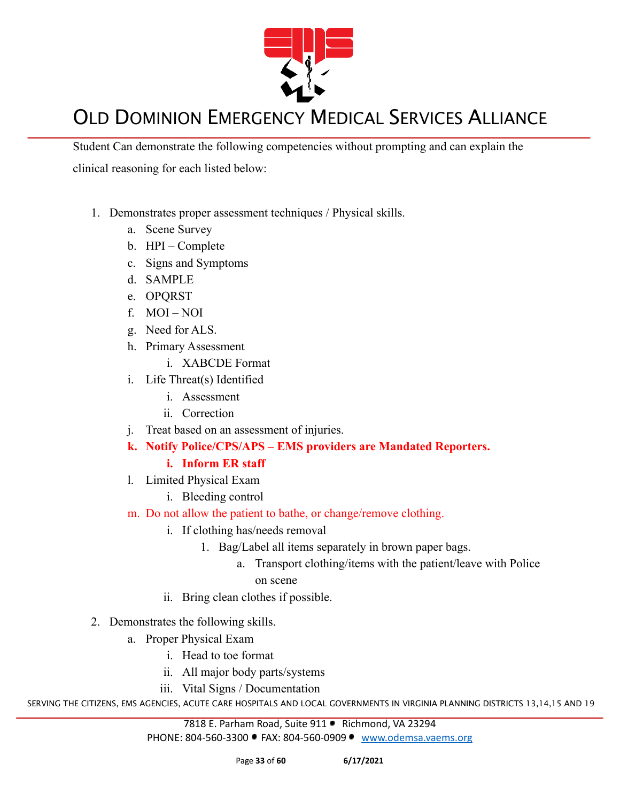

Student Can demonstrate the following competencies without prompting and can explain the clinical reasoning for each listed below:

- 1. Demonstrates proper assessment techniques / Physical skills.
	- a. Scene Survey
	- b. HPI Complete
	- c. Signs and Symptoms
	- d. SAMPLE
	- e. OPQRST
	- f. MOI NOI
	- g. Need for ALS.
	- h. Primary Assessment
		- i. XABCDE Format
	- i. Life Threat(s) Identified
		- i. Assessment
		- ii. Correction
	- j. Treat based on an assessment of injuries.
	- **k. Notify Police/CPS/APS EMS providers are Mandated Reporters.**

#### **i. Inform ER staff**

- l. Limited Physical Exam
	- i. Bleeding control
- m. Do not allow the patient to bathe, or change/remove clothing.
	- i. If clothing has/needs removal
		- 1. Bag/Label all items separately in brown paper bags.
			- a. Transport clothing/items with the patient/leave with Police on scene
	- ii. Bring clean clothes if possible.
- 2. Demonstrates the following skills.
	- a. Proper Physical Exam
		- i. Head to toe format
		- ii. All major body parts/systems
		- iii. Vital Signs / Documentation

SERVING THE CITIZENS, EMS AGENCIES, ACUTE CARE HOSPITALS AND LOCAL GOVERNMENTS IN VIRGINIA PLANNING DISTRICTS 13,14,15 AND 19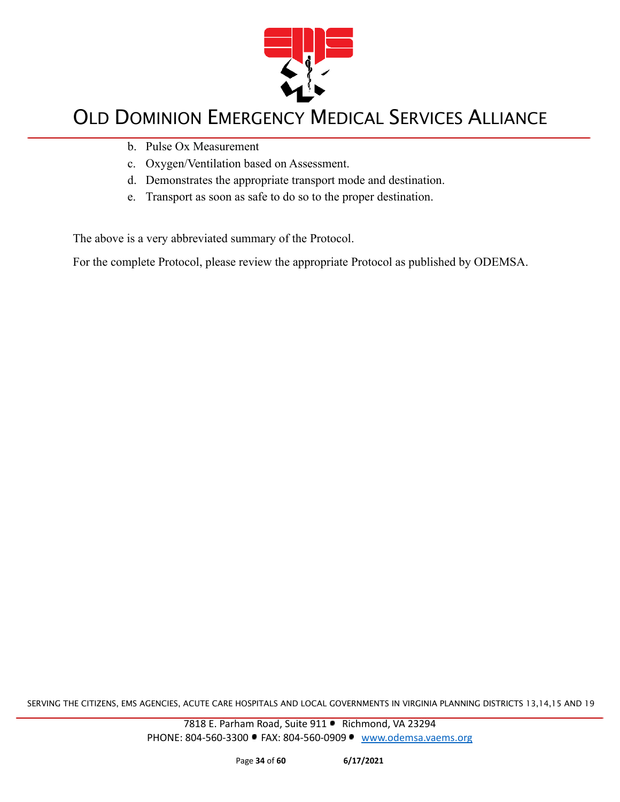

- b. Pulse Ox Measurement
- c. Oxygen/Ventilation based on Assessment.
- d. Demonstrates the appropriate transport mode and destination.
- e. Transport as soon as safe to do so to the proper destination.

The above is a very abbreviated summary of the Protocol.

For the complete Protocol, please review the appropriate Protocol as published by ODEMSA.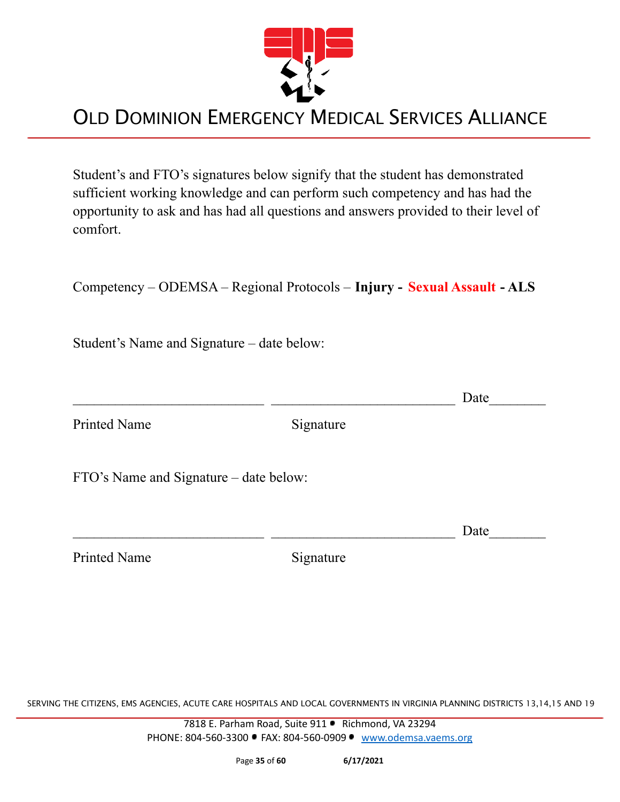

Student's and FTO's signatures below signify that the student has demonstrated sufficient working knowledge and can perform such competency and has had the opportunity to ask and has had all questions and answers provided to their level of comfort.

Competency – ODEMSA – Regional Protocols – **Injury - Sexual Assault - ALS**

Student's Name and Signature – date below:

 $\Box$  Date Printed Name Signature FTO's Name and Signature – date below:  $\Box$  Date Printed Name Signature

SERVING THE CITIZENS, EMS AGENCIES, ACUTE CARE HOSPITALS AND LOCAL GOVERNMENTS IN VIRGINIA PLANNING DISTRICTS 13,14,15 AND 19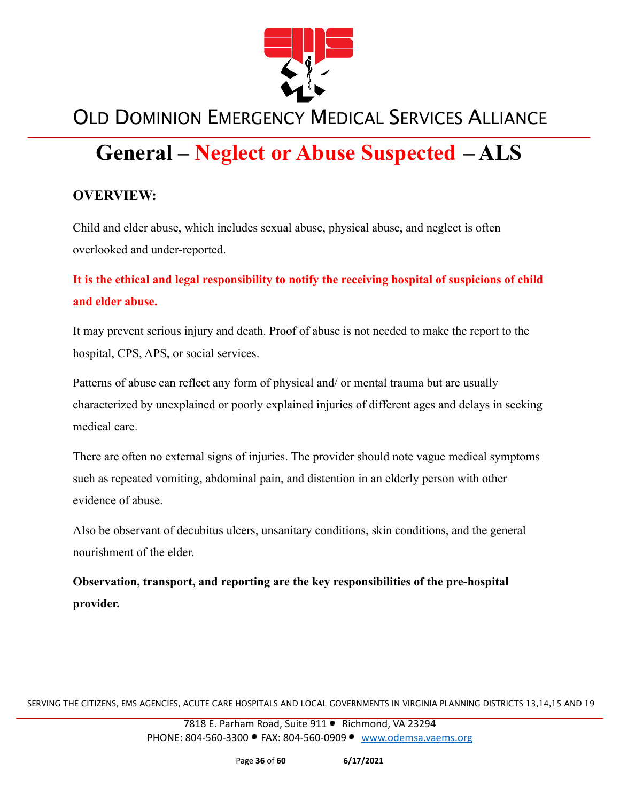

# **General – Neglect or Abuse Suspected – ALS**

#### **OVERVIEW:**

Child and elder abuse, which includes sexual abuse, physical abuse, and neglect is often overlooked and under-reported.

#### **It is the ethical and legal responsibility to notify the receiving hospital of suspicions of child and elder abuse.**

It may prevent serious injury and death. Proof of abuse is not needed to make the report to the hospital, CPS, APS, or social services.

Patterns of abuse can reflect any form of physical and/ or mental trauma but are usually characterized by unexplained or poorly explained injuries of different ages and delays in seeking medical care.

There are often no external signs of injuries. The provider should note vague medical symptoms such as repeated vomiting, abdominal pain, and distention in an elderly person with other evidence of abuse.

Also be observant of decubitus ulcers, unsanitary conditions, skin conditions, and the general nourishment of the elder.

**Observation, transport, and reporting are the key responsibilities of the pre-hospital provider.**

SERVING THE CITIZENS, EMS AGENCIES, ACUTE CARE HOSPITALS AND LOCAL GOVERNMENTS IN VIRGINIA PLANNING DISTRICTS 13,14,15 AND 19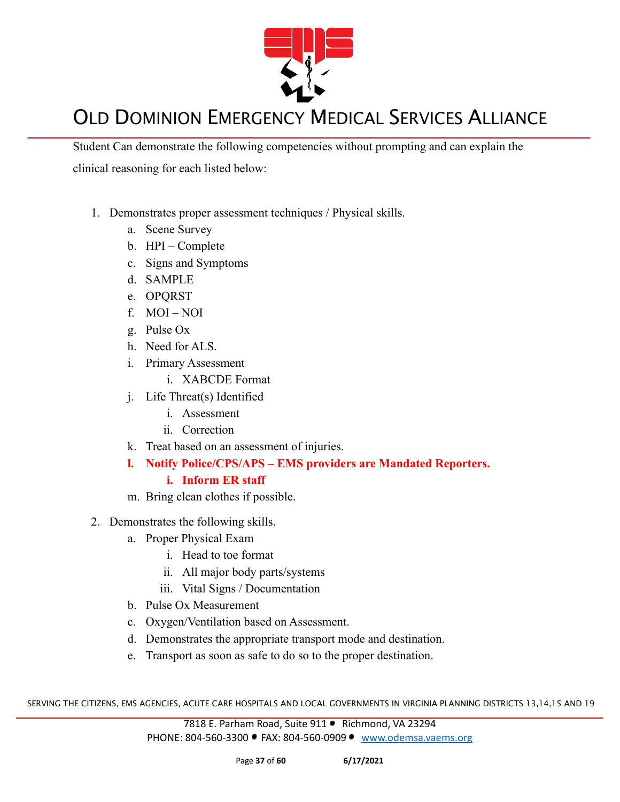

Student Can demonstrate the following competencies without prompting and can explain the clinical reasoning for each listed below:

- 1. Demonstrates proper assessment techniques / Physical skills.
	- a. Scene Survey
	- b. HPI Complete
	- c. Signs and Symptoms
	- d. SAMPLE
	- e. OPQRST
	- f. MOI NOI
	- g. Pulse Ox
	- h. Need for ALS.
	- i. Primary Assessment
		- i. XABCDE Format
	- j. Life Threat(s) Identified
		- i. Assessment
		- ii. Correction
	- k. Treat based on an assessment of injuries.
	- **l. Notify Police/CPS/APS EMS providers are Mandated Reporters.**

#### **i. Inform ER staff**

- m. Bring clean clothes if possible.
- 2. Demonstrates the following skills.
	- a. Proper Physical Exam
		- i. Head to toe format
		- ii. All major body parts/systems
		- iii. Vital Signs / Documentation
	- b. Pulse Ox Measurement
	- c. Oxygen/Ventilation based on Assessment.
	- d. Demonstrates the appropriate transport mode and destination.
	- e. Transport as soon as safe to do so to the proper destination.

SERVING THE CITIZENS, EMS AGENCIES, ACUTE CARE HOSPITALS AND LOCAL GOVERNMENTS IN VIRGINIA PLANNING DISTRICTS 13,14,15 AND 19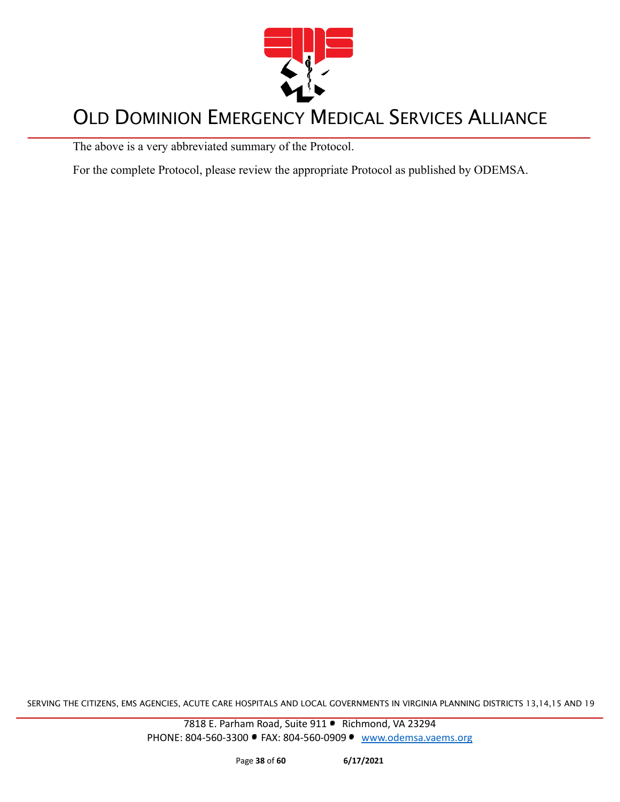

The above is a very abbreviated summary of the Protocol.

For the complete Protocol, please review the appropriate Protocol as published by ODEMSA.

SERVING THE CITIZENS, EMS AGENCIES, ACUTE CARE HOSPITALS AND LOCAL GOVERNMENTS IN VIRGINIA PLANNING DISTRICTS 13,14,15 AND 19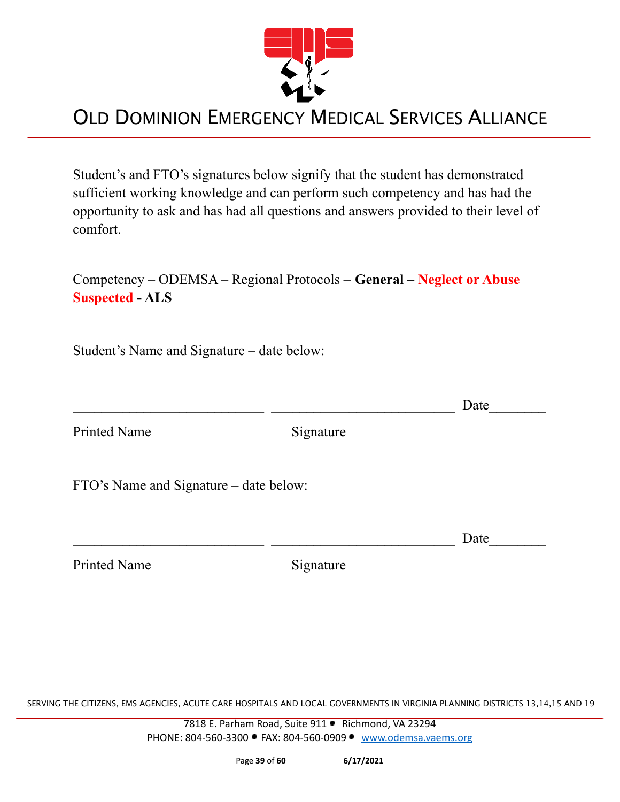

Student's and FTO's signatures below signify that the student has demonstrated sufficient working knowledge and can perform such competency and has had the opportunity to ask and has had all questions and answers provided to their level of comfort.

Competency – ODEMSA – Regional Protocols – **General – Neglect or Abuse Suspected - ALS**

Student's Name and Signature – date below:

 $\Box$  Date

Printed Name Signature

FTO's Name and Signature – date below:

 $\Box$  Date

Printed Name Signature

SERVING THE CITIZENS, EMS AGENCIES, ACUTE CARE HOSPITALS AND LOCAL GOVERNMENTS IN VIRGINIA PLANNING DISTRICTS 13,14,15 AND 19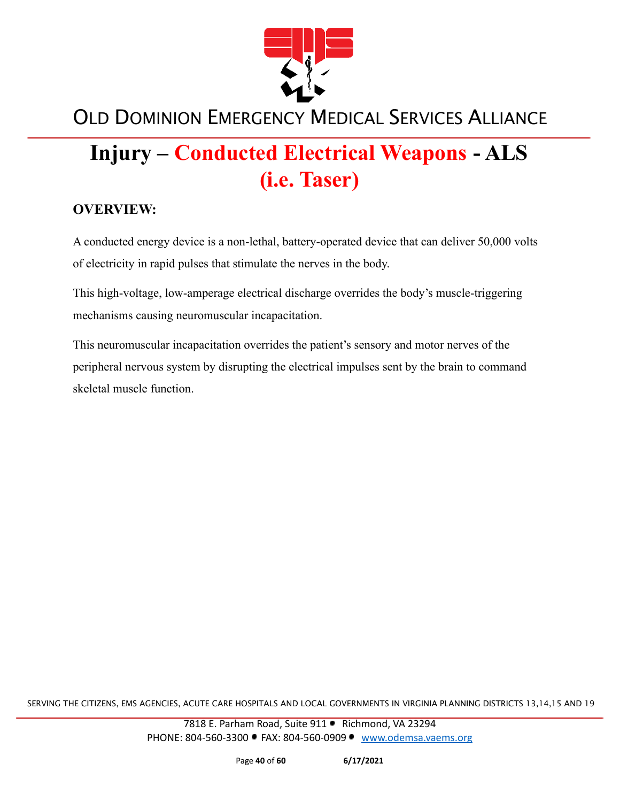

# **Injury – Conducted Electrical Weapons - ALS (i.e. Taser)**

#### **OVERVIEW:**

A conducted energy device is a non-lethal, battery-operated device that can deliver 50,000 volts of electricity in rapid pulses that stimulate the nerves in the body.

This high-voltage, low-amperage electrical discharge overrides the body's muscle-triggering mechanisms causing neuromuscular incapacitation.

This neuromuscular incapacitation overrides the patient's sensory and motor nerves of the peripheral nervous system by disrupting the electrical impulses sent by the brain to command skeletal muscle function.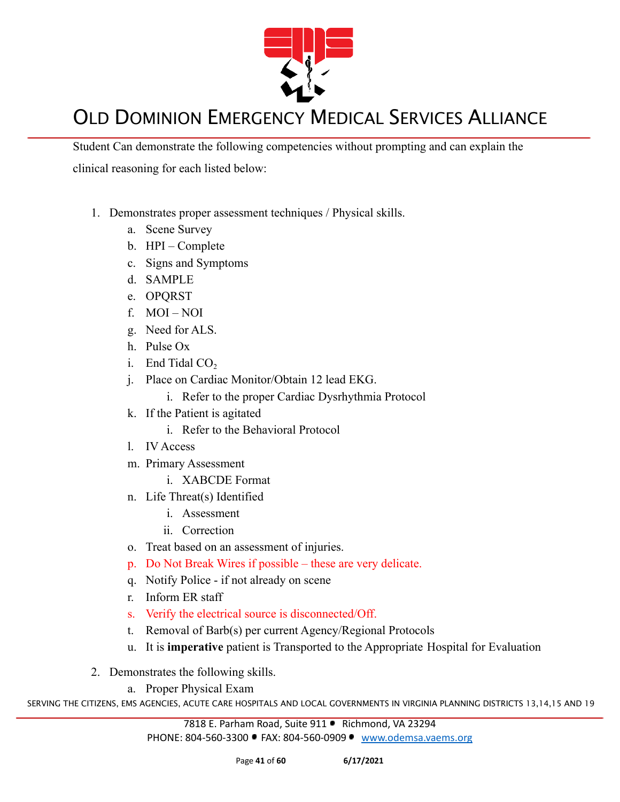

Student Can demonstrate the following competencies without prompting and can explain the clinical reasoning for each listed below:

- 1. Demonstrates proper assessment techniques / Physical skills.
	- a. Scene Survey
	- b. HPI Complete
	- c. Signs and Symptoms
	- d. SAMPLE
	- e. OPQRST
	- f. MOI NOI
	- g. Need for ALS.
	- h. Pulse Ox
	- i. End Tidal  $CO<sub>2</sub>$
	- j. Place on Cardiac Monitor/Obtain 12 lead EKG.
		- i. Refer to the proper Cardiac Dysrhythmia Protocol
	- k. If the Patient is agitated
		- i. Refer to the Behavioral Protocol
	- l. IV Access
	- m. Primary Assessment
		- i. XABCDE Format
	- n. Life Threat(s) Identified
		- i. Assessment
		- ii. Correction
	- o. Treat based on an assessment of injuries.
	- p. Do Not Break Wires if possible these are very delicate.
	- q. Notify Police if not already on scene
	- r. Inform ER staff
	- s. Verify the electrical source is disconnected/Off.
	- t. Removal of Barb(s) per current Agency/Regional Protocols
	- u. It is **imperative** patient is Transported to the Appropriate Hospital for Evaluation
- 2. Demonstrates the following skills.
	- a. Proper Physical Exam

SERVING THE CITIZENS, EMS AGENCIES, ACUTE CARE HOSPITALS AND LOCAL GOVERNMENTS IN VIRGINIA PLANNING DISTRICTS 13,14,15 AND 19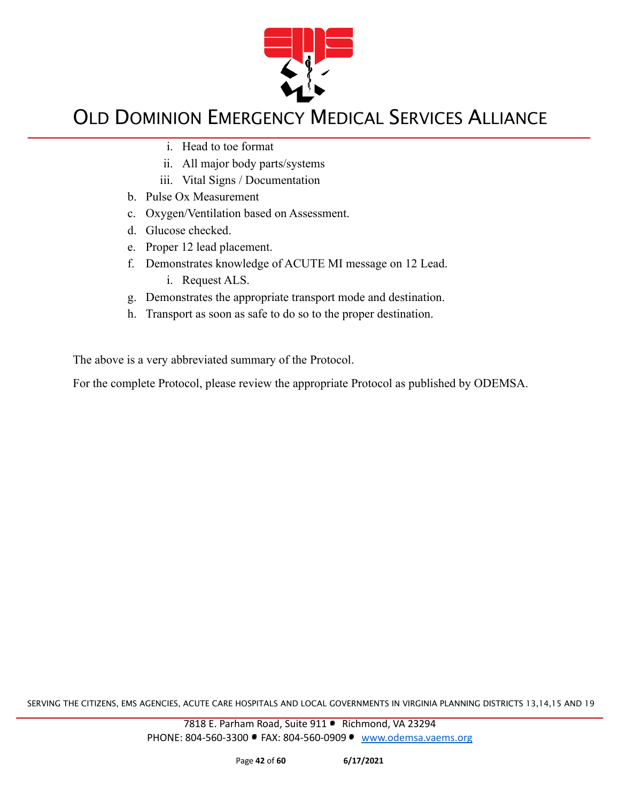

- i. Head to toe format
- ii. All major body parts/systems
- iii. Vital Signs / Documentation
- b. Pulse Ox Measurement
- c. Oxygen/Ventilation based on Assessment.
- d. Glucose checked.
- e. Proper 12 lead placement.
- f. Demonstrates knowledge of ACUTE MI message on 12 Lead.
	- i. Request ALS.
- g. Demonstrates the appropriate transport mode and destination.
- h. Transport as soon as safe to do so to the proper destination.

The above is a very abbreviated summary of the Protocol.

For the complete Protocol, please review the appropriate Protocol as published by ODEMSA.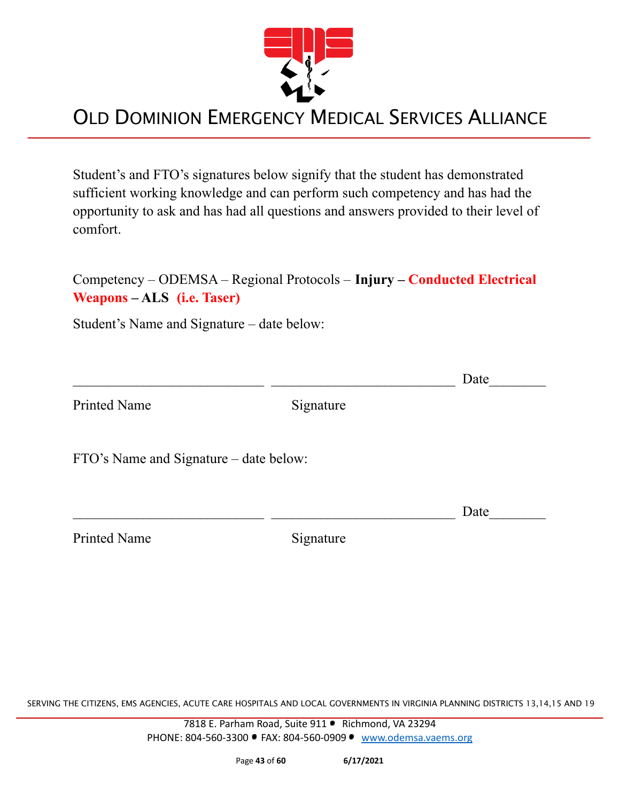

Student's and FTO's signatures below signify that the student has demonstrated sufficient working knowledge and can perform such competency and has had the opportunity to ask and has had all questions and answers provided to their level of comfort.

| Competency – ODEMSA – Regional Protocols – Injury – Conducted Electrical |  |
|--------------------------------------------------------------------------|--|
| Weapons – ALS (i.e. Taser)                                               |  |

Student's Name and Signature – date below:

|                                        |           | Date |
|----------------------------------------|-----------|------|
| <b>Printed Name</b>                    | Signature |      |
| FTO's Name and Signature – date below: |           |      |
|                                        |           | Date |
| <b>Printed Name</b>                    | Signature |      |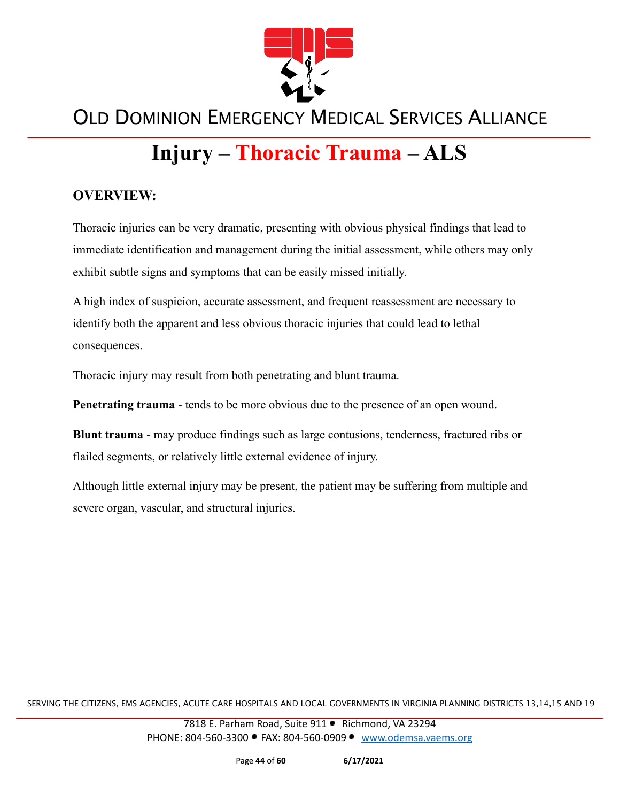

# **Injury – Thoracic Trauma – ALS**

#### **OVERVIEW:**

Thoracic injuries can be very dramatic, presenting with obvious physical findings that lead to immediate identification and management during the initial assessment, while others may only exhibit subtle signs and symptoms that can be easily missed initially.

A high index of suspicion, accurate assessment, and frequent reassessment are necessary to identify both the apparent and less obvious thoracic injuries that could lead to lethal consequences.

Thoracic injury may result from both penetrating and blunt trauma.

**Penetrating trauma** - tends to be more obvious due to the presence of an open wound.

**Blunt trauma** - may produce findings such as large contusions, tenderness, fractured ribs or flailed segments, or relatively little external evidence of injury.

Although little external injury may be present, the patient may be suffering from multiple and severe organ, vascular, and structural injuries.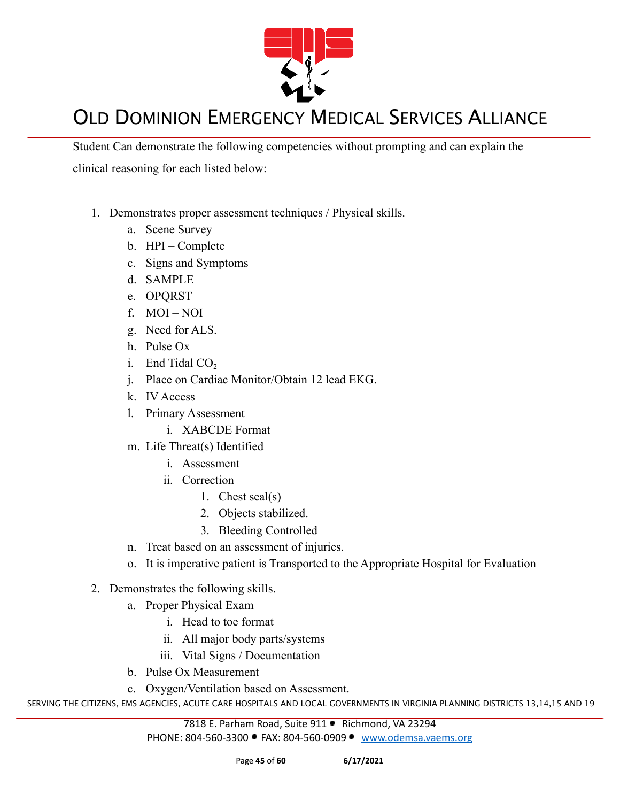

Student Can demonstrate the following competencies without prompting and can explain the clinical reasoning for each listed below:

- 1. Demonstrates proper assessment techniques / Physical skills.
	- a. Scene Survey
	- b. HPI Complete
	- c. Signs and Symptoms
	- d. SAMPLE
	- e. OPQRST
	- f. MOI NOI
	- g. Need for ALS.
	- h. Pulse Ox
	- i. End Tidal  $CO<sub>2</sub>$
	- j. Place on Cardiac Monitor/Obtain 12 lead EKG.
	- k. IV Access
	- l. Primary Assessment
		- i. XABCDE Format
	- m. Life Threat(s) Identified
		- i. Assessment
		- ii. Correction
			- 1. Chest seal(s)
			- 2. Objects stabilized.
			- 3. Bleeding Controlled
	- n. Treat based on an assessment of injuries.
	- o. It is imperative patient is Transported to the Appropriate Hospital for Evaluation
- 2. Demonstrates the following skills.
	- a. Proper Physical Exam
		- i. Head to toe format
		- ii. All major body parts/systems
		- iii. Vital Signs / Documentation
	- b. Pulse Ox Measurement
	- c. Oxygen/Ventilation based on Assessment.

SERVING THE CITIZENS, EMS AGENCIES, ACUTE CARE HOSPITALS AND LOCAL GOVERNMENTS IN VIRGINIA PLANNING DISTRICTS 13,14,15 AND 19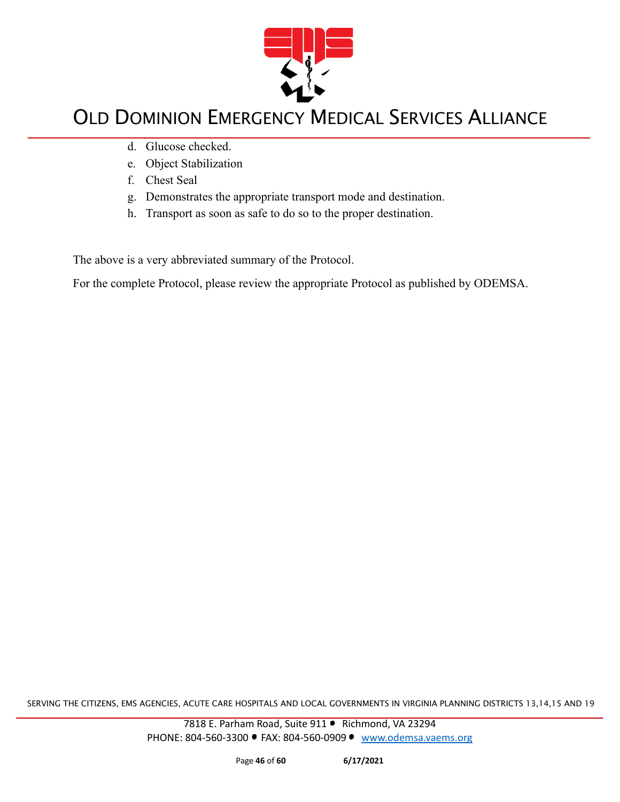

- d. Glucose checked.
- e. Object Stabilization
- f. Chest Seal
- g. Demonstrates the appropriate transport mode and destination.
- h. Transport as soon as safe to do so to the proper destination.

The above is a very abbreviated summary of the Protocol.

For the complete Protocol, please review the appropriate Protocol as published by ODEMSA.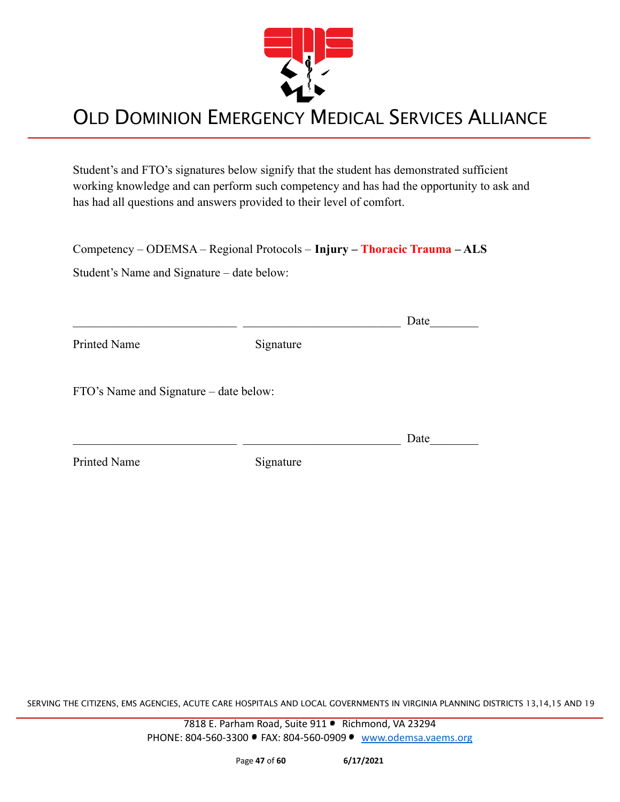

Student's and FTO's signatures below signify that the student has demonstrated sufficient working knowledge and can perform such competency and has had the opportunity to ask and has had all questions and answers provided to their level of comfort.

|  | Competency – ODEMSA – Regional Protocols – Injury – Thoracic Trauma – ALS |  |  |  |
|--|---------------------------------------------------------------------------|--|--|--|
|  |                                                                           |  |  |  |

Student's Name and Signature – date below:

|                                        |           | Date |
|----------------------------------------|-----------|------|
| Printed Name                           | Signature |      |
| FTO's Name and Signature – date below: |           |      |
|                                        |           | Date |
| Printed Name                           | Signature |      |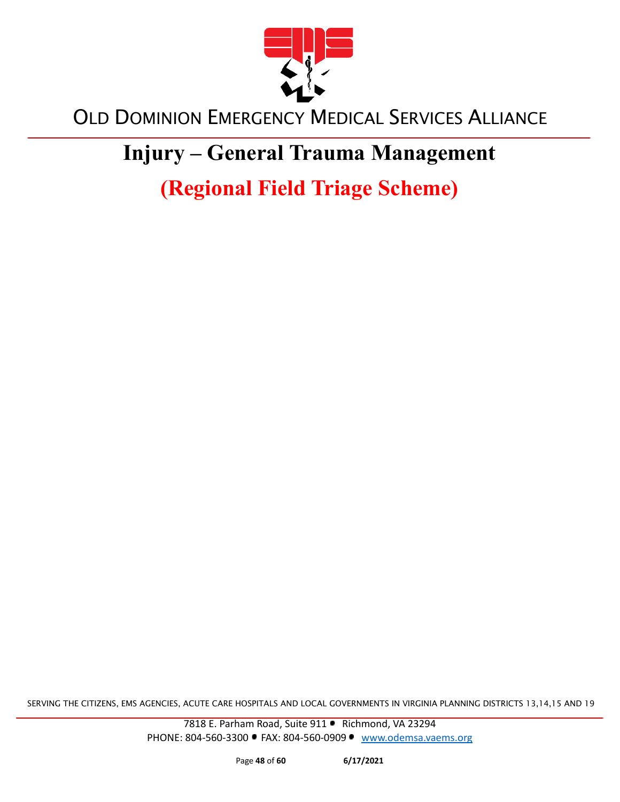

# **Injury – General Trauma Management**

**(Regional Field Triage Scheme)**

SERVING THE CITIZENS, EMS AGENCIES, ACUTE CARE HOSPITALS AND LOCAL GOVERNMENTS IN VIRGINIA PLANNING DISTRICTS 13,14,15 AND 19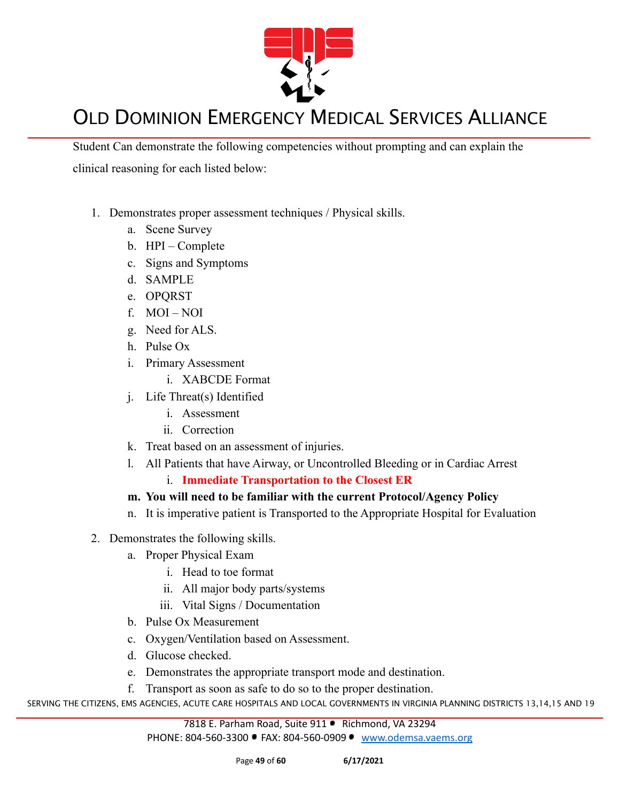

Student Can demonstrate the following competencies without prompting and can explain the clinical reasoning for each listed below:

- 1. Demonstrates proper assessment techniques / Physical skills.
	- a. Scene Survey
	- b. HPI Complete
	- c. Signs and Symptoms
	- d. SAMPLE
	- e. OPQRST
	- f. MOI NOI
	- g. Need for ALS.
	- h. Pulse Ox
	- i. Primary Assessment
		- i. XABCDE Format
	- j. Life Threat(s) Identified
		- i. Assessment
		- ii. Correction
	- k. Treat based on an assessment of injuries.
	- l. All Patients that have Airway, or Uncontrolled Bleeding or in Cardiac Arrest
		- i. **Immediate Transportation to the Closest ER**

#### **m. You will need to be familiar with the current Protocol/Agency Policy**

- n. It is imperative patient is Transported to the Appropriate Hospital for Evaluation
- 2. Demonstrates the following skills.
	- a. Proper Physical Exam
		- i. Head to toe format
		- ii. All major body parts/systems
		- iii. Vital Signs / Documentation
	- b. Pulse Ox Measurement
	- c. Oxygen/Ventilation based on Assessment.
	- d. Glucose checked.
	- e. Demonstrates the appropriate transport mode and destination.
	- f. Transport as soon as safe to do so to the proper destination.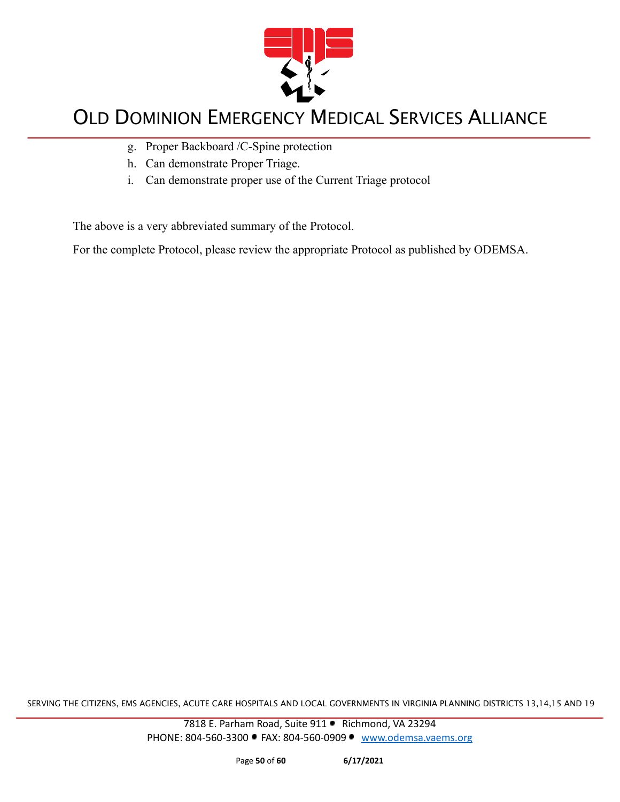

- g. Proper Backboard /C-Spine protection
- h. Can demonstrate Proper Triage.
- i. Can demonstrate proper use of the Current Triage protocol

The above is a very abbreviated summary of the Protocol.

For the complete Protocol, please review the appropriate Protocol as published by ODEMSA.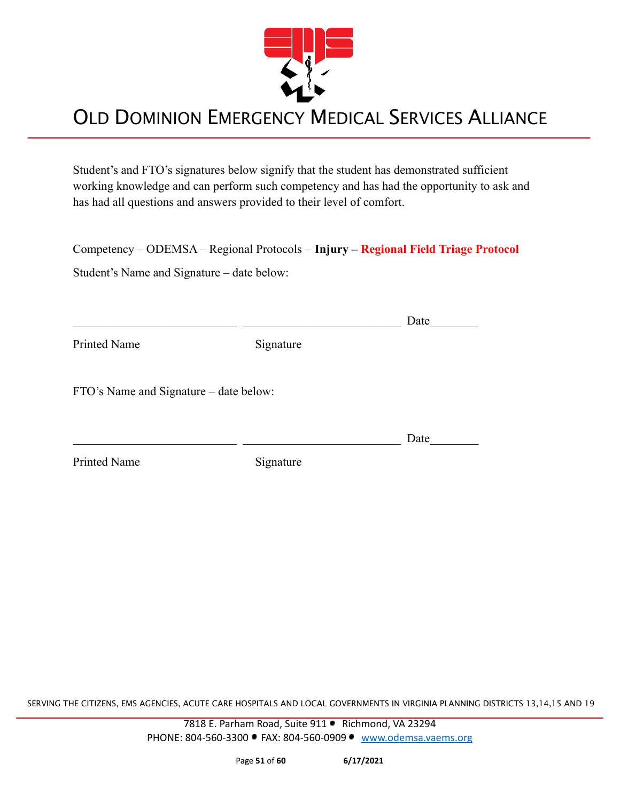

Student's and FTO's signatures below signify that the student has demonstrated sufficient working knowledge and can perform such competency and has had the opportunity to ask and has had all questions and answers provided to their level of comfort.

Competency – ODEMSA – Regional Protocols – **Injury – Regional Field Triage Protocol**

Student's Name and Signature – date below:

|                                        |           | Date |
|----------------------------------------|-----------|------|
| Printed Name                           | Signature |      |
| FTO's Name and Signature – date below: |           |      |
|                                        |           | Date |
| <b>Printed Name</b>                    | Signature |      |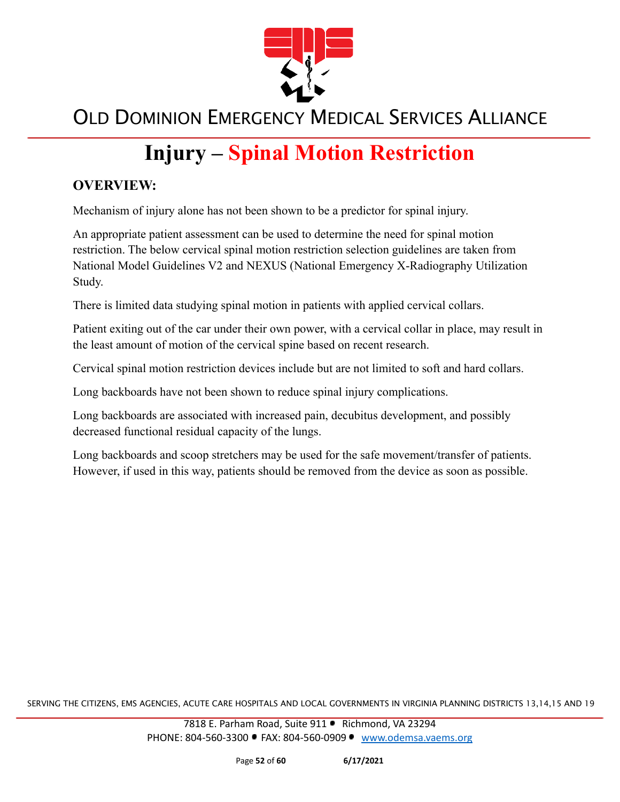

# **Injury – Spinal Motion Restriction**

#### **OVERVIEW:**

Mechanism of injury alone has not been shown to be a predictor for spinal injury.

An appropriate patient assessment can be used to determine the need for spinal motion restriction. The below cervical spinal motion restriction selection guidelines are taken from National Model Guidelines V2 and NEXUS (National Emergency X-Radiography Utilization Study.

There is limited data studying spinal motion in patients with applied cervical collars.

Patient exiting out of the car under their own power, with a cervical collar in place, may result in the least amount of motion of the cervical spine based on recent research.

Cervical spinal motion restriction devices include but are not limited to soft and hard collars.

Long backboards have not been shown to reduce spinal injury complications.

Long backboards are associated with increased pain, decubitus development, and possibly decreased functional residual capacity of the lungs.

Long backboards and scoop stretchers may be used for the safe movement/transfer of patients. However, if used in this way, patients should be removed from the device as soon as possible.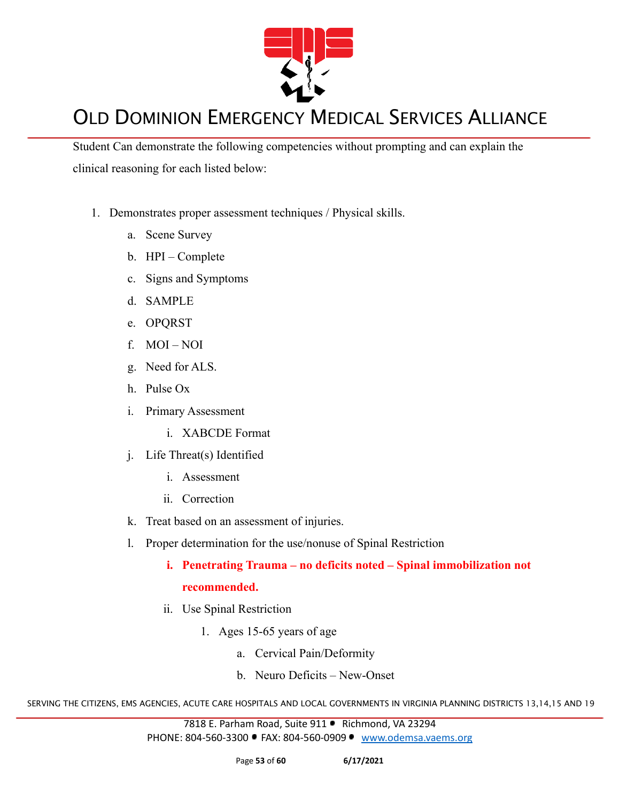

Student Can demonstrate the following competencies without prompting and can explain the clinical reasoning for each listed below:

- 1. Demonstrates proper assessment techniques / Physical skills.
	- a. Scene Survey
	- b. HPI Complete
	- c. Signs and Symptoms
	- d. SAMPLE
	- e. OPQRST
	- f. MOI NOI
	- g. Need for ALS.
	- h. Pulse Ox
	- i. Primary Assessment
		- i. XABCDE Format
	- j. Life Threat(s) Identified
		- i. Assessment
		- ii. Correction
	- k. Treat based on an assessment of injuries.
	- l. Proper determination for the use/nonuse of Spinal Restriction
		- **i. Penetrating Trauma no deficits noted Spinal immobilization not recommended.**
		- ii. Use Spinal Restriction
			- 1. Ages 15-65 years of age
				- a. Cervical Pain/Deformity
				- b. Neuro Deficits New-Onset

SERVING THE CITIZENS, EMS AGENCIES, ACUTE CARE HOSPITALS AND LOCAL GOVERNMENTS IN VIRGINIA PLANNING DISTRICTS 13,14,15 AND 19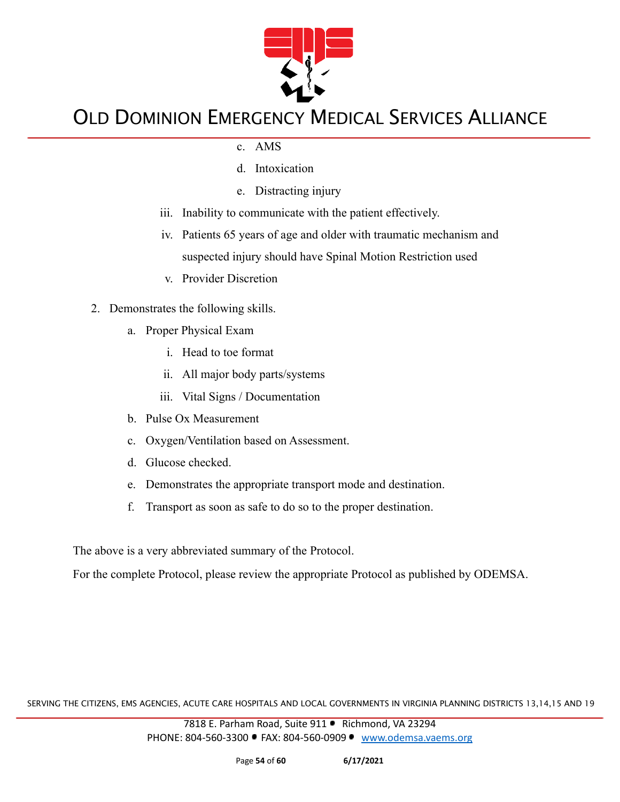

- c. AMS
- d. Intoxication
- e. Distracting injury
- iii. Inability to communicate with the patient effectively.
- iv. Patients 65 years of age and older with traumatic mechanism and suspected injury should have Spinal Motion Restriction used
- v. Provider Discretion
- 2. Demonstrates the following skills.
	- a. Proper Physical Exam
		- i. Head to toe format
		- ii. All major body parts/systems
		- iii. Vital Signs / Documentation
	- b. Pulse Ox Measurement
	- c. Oxygen/Ventilation based on Assessment.
	- d. Glucose checked.
	- e. Demonstrates the appropriate transport mode and destination.
	- f. Transport as soon as safe to do so to the proper destination.

The above is a very abbreviated summary of the Protocol.

For the complete Protocol, please review the appropriate Protocol as published by ODEMSA.

SERVING THE CITIZENS, EMS AGENCIES, ACUTE CARE HOSPITALS AND LOCAL GOVERNMENTS IN VIRGINIA PLANNING DISTRICTS 13,14,15 AND 19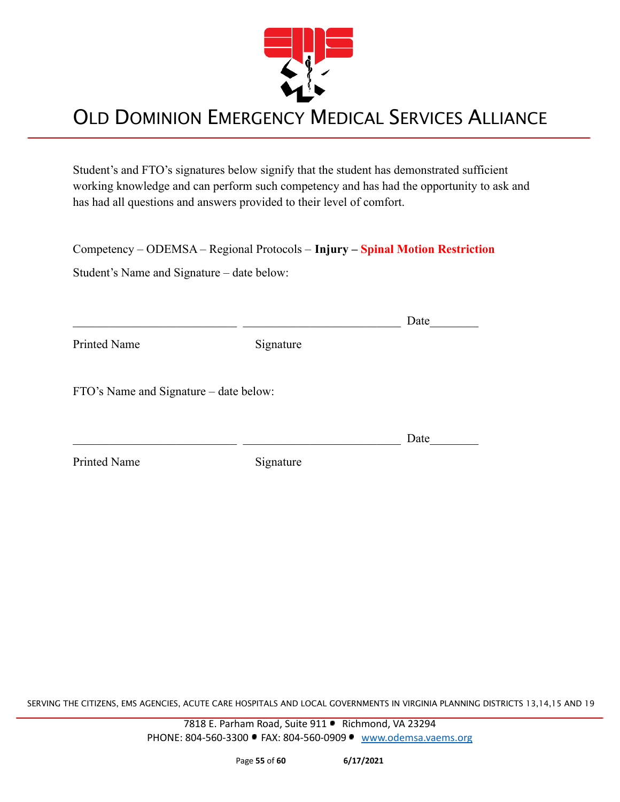

Student's and FTO's signatures below signify that the student has demonstrated sufficient working knowledge and can perform such competency and has had the opportunity to ask and has had all questions and answers provided to their level of comfort.

Competency – ODEMSA – Regional Protocols – **Injury – Spinal Motion Restriction**

Student's Name and Signature – date below:

|                                        |           | Date |
|----------------------------------------|-----------|------|
| <b>Printed Name</b>                    | Signature |      |
| FTO's Name and Signature – date below: |           |      |
|                                        |           | Date |
| Printed Name                           | Signature |      |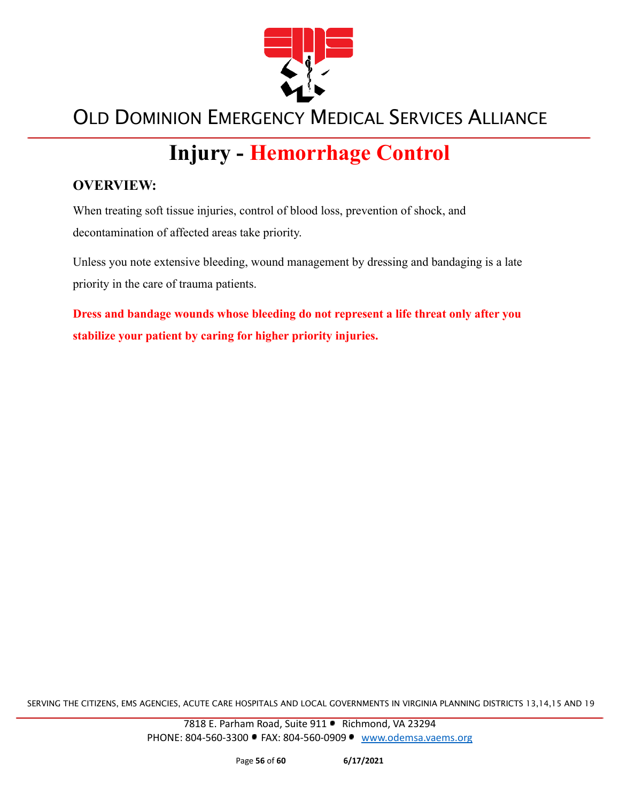

# **Injury - Hemorrhage Control**

#### **OVERVIEW:**

When treating soft tissue injuries, control of blood loss, prevention of shock, and decontamination of affected areas take priority.

Unless you note extensive bleeding, wound management by dressing and bandaging is a late priority in the care of trauma patients.

**Dress and bandage wounds whose bleeding do not represent a life threat only after you stabilize your patient by caring for higher priority injuries.**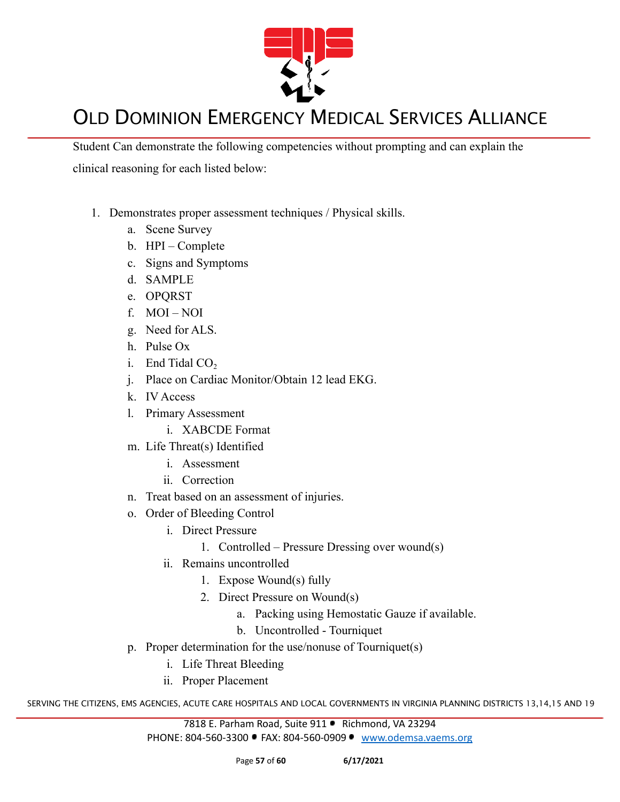

Student Can demonstrate the following competencies without prompting and can explain the clinical reasoning for each listed below:

- 1. Demonstrates proper assessment techniques / Physical skills.
	- a. Scene Survey
	- b. HPI Complete
	- c. Signs and Symptoms
	- d. SAMPLE
	- e. OPQRST
	- f. MOI NOI
	- g. Need for ALS.
	- h. Pulse Ox
	- i. End Tidal  $CO<sub>2</sub>$
	- j. Place on Cardiac Monitor/Obtain 12 lead EKG.
	- k. IV Access
	- l. Primary Assessment
		- i. XABCDE Format
	- m. Life Threat(s) Identified
		- i. Assessment
		- ii. Correction
	- n. Treat based on an assessment of injuries.
	- o. Order of Bleeding Control
		- i. Direct Pressure
			- 1. Controlled Pressure Dressing over wound(s)
		- ii. Remains uncontrolled
			- 1. Expose Wound(s) fully
			- 2. Direct Pressure on Wound(s)
				- a. Packing using Hemostatic Gauze if available.
				- b. Uncontrolled Tourniquet
	- p. Proper determination for the use/nonuse of Tourniquet(s)
		- i. Life Threat Bleeding
		- ii. Proper Placement

SERVING THE CITIZENS, EMS AGENCIES, ACUTE CARE HOSPITALS AND LOCAL GOVERNMENTS IN VIRGINIA PLANNING DISTRICTS 13,14,15 AND 19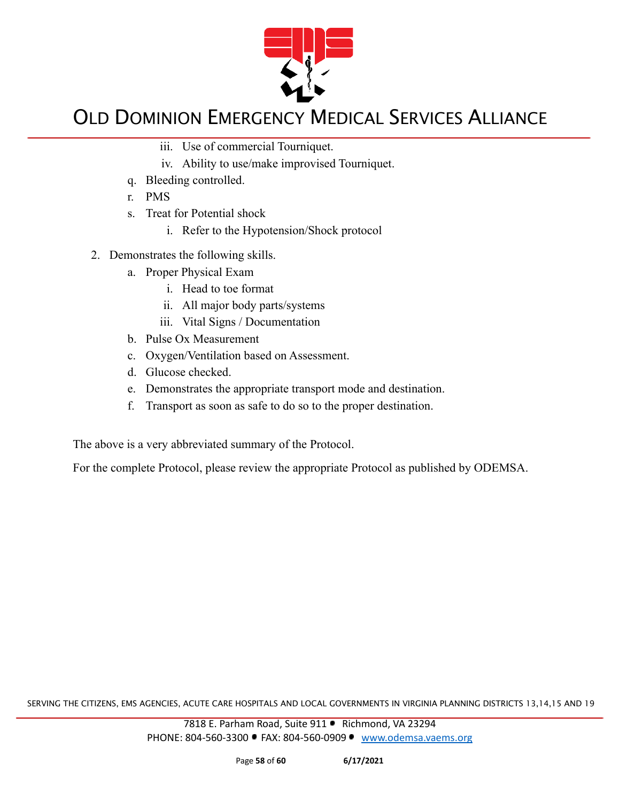

- iii. Use of commercial Tourniquet.
- iv. Ability to use/make improvised Tourniquet.
- q. Bleeding controlled.
- r. PMS
- s. Treat for Potential shock
	- i. Refer to the Hypotension/Shock protocol
- 2. Demonstrates the following skills.
	- a. Proper Physical Exam
		- i. Head to toe format
		- ii. All major body parts/systems
		- iii. Vital Signs / Documentation
	- b. Pulse Ox Measurement
	- c. Oxygen/Ventilation based on Assessment.
	- d. Glucose checked.
	- e. Demonstrates the appropriate transport mode and destination.
	- f. Transport as soon as safe to do so to the proper destination.

The above is a very abbreviated summary of the Protocol.

For the complete Protocol, please review the appropriate Protocol as published by ODEMSA.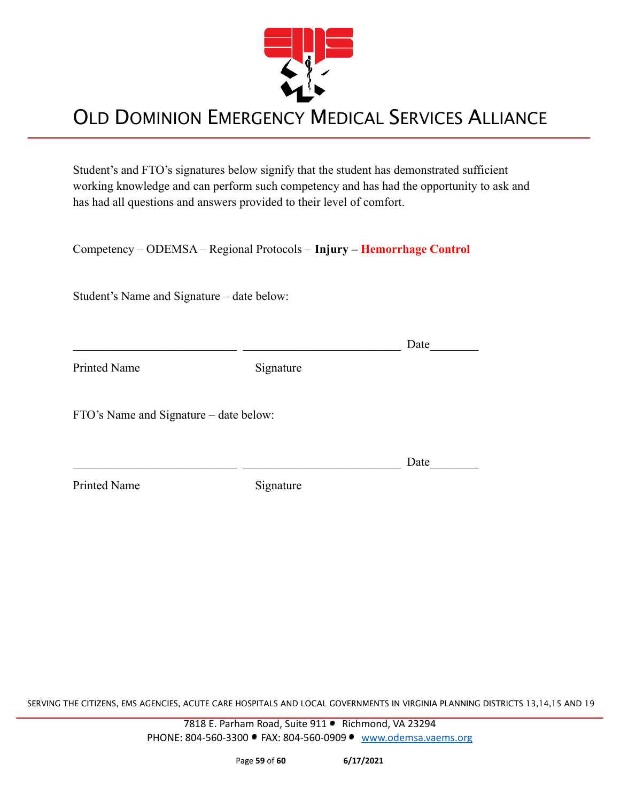

Student's and FTO's signatures below signify that the student has demonstrated sufficient working knowledge and can perform such competency and has had the opportunity to ask and has had all questions and answers provided to their level of comfort.

Competency – ODEMSA – Regional Protocols – **Injury – Hemorrhage Control**

Student's Name and Signature – date below:

 $\Box$  Date

Printed Name Signature

FTO's Name and Signature – date below:

 $\Box$  Date

Printed Name Signature